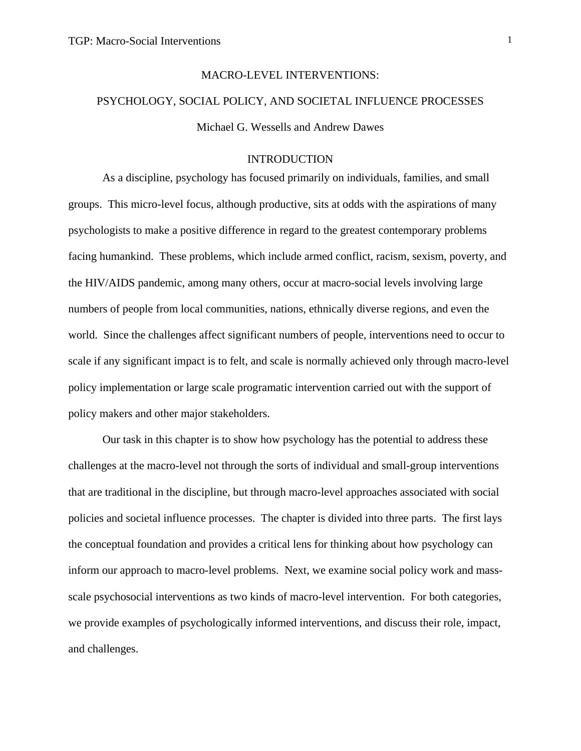# MACRO-LEVEL INTERVENTIONS:

# PSYCHOLOGY, SOCIAL POLICY, AND SOCIETAL INFLUENCE PROCESSES Michael G. Wessells and Andrew Dawes

# INTRODUCTION

As a discipline, psychology has focused primarily on individuals, families, and small groups. This micro-level focus, although productive, sits at odds with the aspirations of many psychologists to make a positive difference in regard to the greatest contemporary problems facing humankind. These problems, which include armed conflict, racism, sexism, poverty, and the HIV/AIDS pandemic, among many others, occur at macro-social levels involving large numbers of people from local communities, nations, ethnically diverse regions, and even the world. Since the challenges affect significant numbers of people, interventions need to occur to scale if any significant impact is to felt, and scale is normally achieved only through macro-level policy implementation or large scale programatic intervention carried out with the support of policy makers and other major stakeholders.

Our task in this chapter is to show how psychology has the potential to address these challenges at the macro-level not through the sorts of individual and small-group interventions that are traditional in the discipline, but through macro-level approaches associated with social policies and societal influence processes. The chapter is divided into three parts. The first lays the conceptual foundation and provides a critical lens for thinking about how psychology can inform our approach to macro-level problems. Next, we examine social policy work and massscale psychosocial interventions as two kinds of macro-level intervention. For both categories, we provide examples of psychologically informed interventions, and discuss their role, impact, and challenges.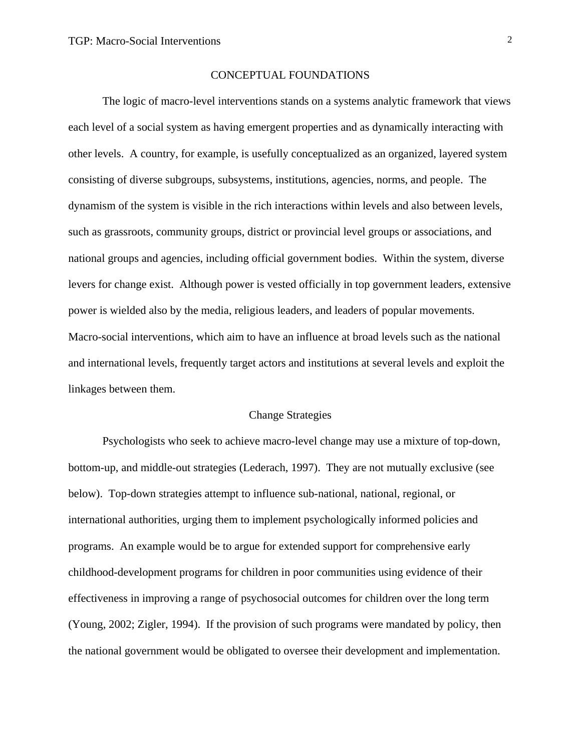## CONCEPTUAL FOUNDATIONS

The logic of macro-level interventions stands on a systems analytic framework that views each level of a social system as having emergent properties and as dynamically interacting with other levels. A country, for example, is usefully conceptualized as an organized, layered system consisting of diverse subgroups, subsystems, institutions, agencies, norms, and people. The dynamism of the system is visible in the rich interactions within levels and also between levels, such as grassroots, community groups, district or provincial level groups or associations, and national groups and agencies, including official government bodies. Within the system, diverse levers for change exist. Although power is vested officially in top government leaders, extensive power is wielded also by the media, religious leaders, and leaders of popular movements. Macro-social interventions, which aim to have an influence at broad levels such as the national and international levels, frequently target actors and institutions at several levels and exploit the linkages between them.

#### Change Strategies

Psychologists who seek to achieve macro-level change may use a mixture of top-down, bottom-up, and middle-out strategies (Lederach, 1997). They are not mutually exclusive (see below). Top-down strategies attempt to influence sub-national, national, regional, or international authorities, urging them to implement psychologically informed policies and programs. An example would be to argue for extended support for comprehensive early childhood-development programs for children in poor communities using evidence of their effectiveness in improving a range of psychosocial outcomes for children over the long term (Young, 2002; Zigler, 1994). If the provision of such programs were mandated by policy, then the national government would be obligated to oversee their development and implementation.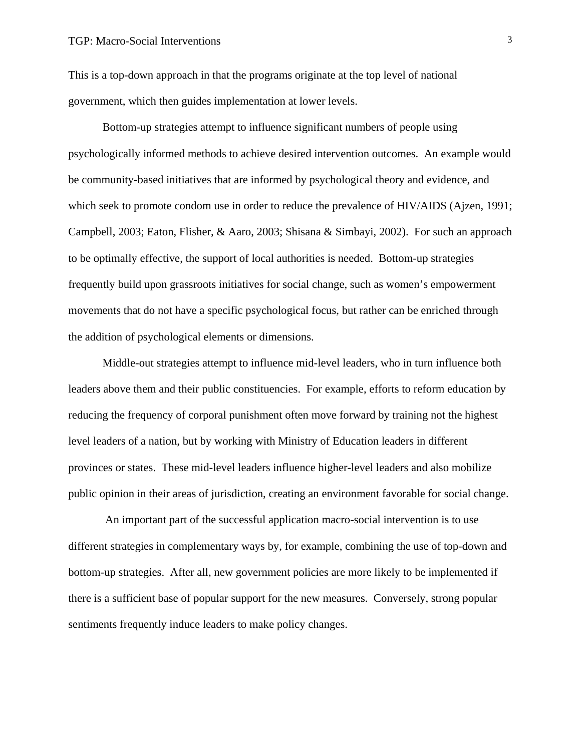This is a top-down approach in that the programs originate at the top level of national government, which then guides implementation at lower levels.

Bottom-up strategies attempt to influence significant numbers of people using psychologically informed methods to achieve desired intervention outcomes. An example would be community-based initiatives that are informed by psychological theory and evidence, and which seek to promote condom use in order to reduce the prevalence of HIV/AIDS (Ajzen, 1991; Campbell, 2003; Eaton, Flisher, & Aaro, 2003; Shisana & Simbayi, 2002). For such an approach to be optimally effective, the support of local authorities is needed. Bottom-up strategies frequently build upon grassroots initiatives for social change, such as women's empowerment movements that do not have a specific psychological focus, but rather can be enriched through the addition of psychological elements or dimensions.

Middle-out strategies attempt to influence mid-level leaders, who in turn influence both leaders above them and their public constituencies. For example, efforts to reform education by reducing the frequency of corporal punishment often move forward by training not the highest level leaders of a nation, but by working with Ministry of Education leaders in different provinces or states. These mid-level leaders influence higher-level leaders and also mobilize public opinion in their areas of jurisdiction, creating an environment favorable for social change.

 An important part of the successful application macro-social intervention is to use different strategies in complementary ways by, for example, combining the use of top-down and bottom-up strategies. After all, new government policies are more likely to be implemented if there is a sufficient base of popular support for the new measures. Conversely, strong popular sentiments frequently induce leaders to make policy changes.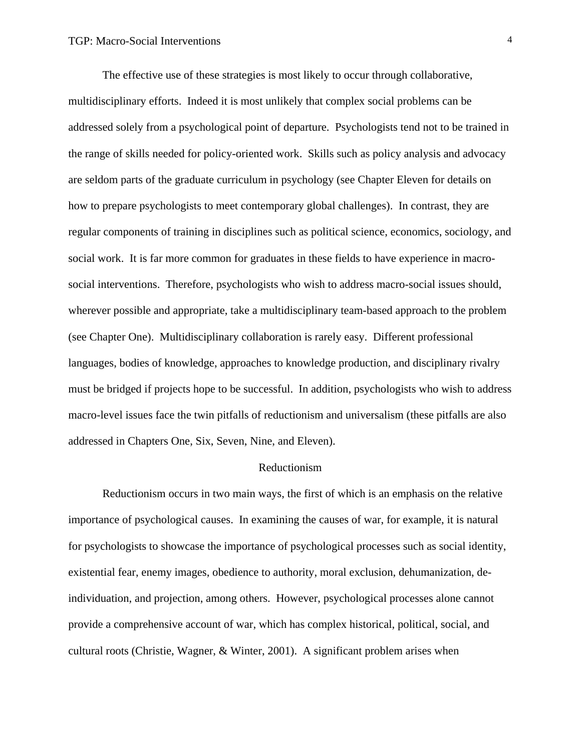The effective use of these strategies is most likely to occur through collaborative, multidisciplinary efforts. Indeed it is most unlikely that complex social problems can be addressed solely from a psychological point of departure. Psychologists tend not to be trained in the range of skills needed for policy-oriented work. Skills such as policy analysis and advocacy are seldom parts of the graduate curriculum in psychology (see Chapter Eleven for details on how to prepare psychologists to meet contemporary global challenges). In contrast, they are regular components of training in disciplines such as political science, economics, sociology, and social work. It is far more common for graduates in these fields to have experience in macrosocial interventions. Therefore, psychologists who wish to address macro-social issues should, wherever possible and appropriate, take a multidisciplinary team-based approach to the problem (see Chapter One). Multidisciplinary collaboration is rarely easy. Different professional languages, bodies of knowledge, approaches to knowledge production, and disciplinary rivalry must be bridged if projects hope to be successful. In addition, psychologists who wish to address macro-level issues face the twin pitfalls of reductionism and universalism (these pitfalls are also addressed in Chapters One, Six, Seven, Nine, and Eleven).

#### Reductionism

Reductionism occurs in two main ways, the first of which is an emphasis on the relative importance of psychological causes. In examining the causes of war, for example, it is natural for psychologists to showcase the importance of psychological processes such as social identity, existential fear, enemy images, obedience to authority, moral exclusion, dehumanization, deindividuation, and projection, among others. However, psychological processes alone cannot provide a comprehensive account of war, which has complex historical, political, social, and cultural roots (Christie, Wagner, & Winter, 2001). A significant problem arises when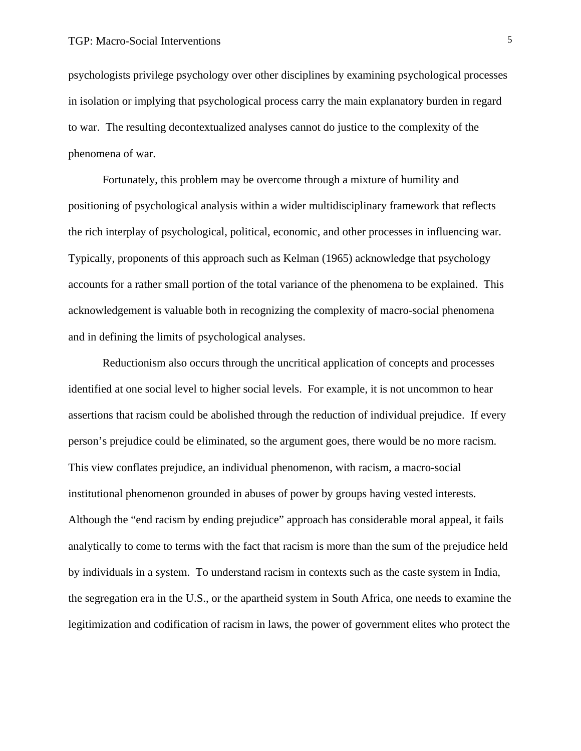psychologists privilege psychology over other disciplines by examining psychological processes in isolation or implying that psychological process carry the main explanatory burden in regard to war. The resulting decontextualized analyses cannot do justice to the complexity of the phenomena of war.

Fortunately, this problem may be overcome through a mixture of humility and positioning of psychological analysis within a wider multidisciplinary framework that reflects the rich interplay of psychological, political, economic, and other processes in influencing war. Typically, proponents of this approach such as Kelman (1965) acknowledge that psychology accounts for a rather small portion of the total variance of the phenomena to be explained. This acknowledgement is valuable both in recognizing the complexity of macro-social phenomena and in defining the limits of psychological analyses.

Reductionism also occurs through the uncritical application of concepts and processes identified at one social level to higher social levels. For example, it is not uncommon to hear assertions that racism could be abolished through the reduction of individual prejudice. If every person's prejudice could be eliminated, so the argument goes, there would be no more racism. This view conflates prejudice, an individual phenomenon, with racism, a macro-social institutional phenomenon grounded in abuses of power by groups having vested interests. Although the "end racism by ending prejudice" approach has considerable moral appeal, it fails analytically to come to terms with the fact that racism is more than the sum of the prejudice held by individuals in a system. To understand racism in contexts such as the caste system in India, the segregation era in the U.S., or the apartheid system in South Africa, one needs to examine the legitimization and codification of racism in laws, the power of government elites who protect the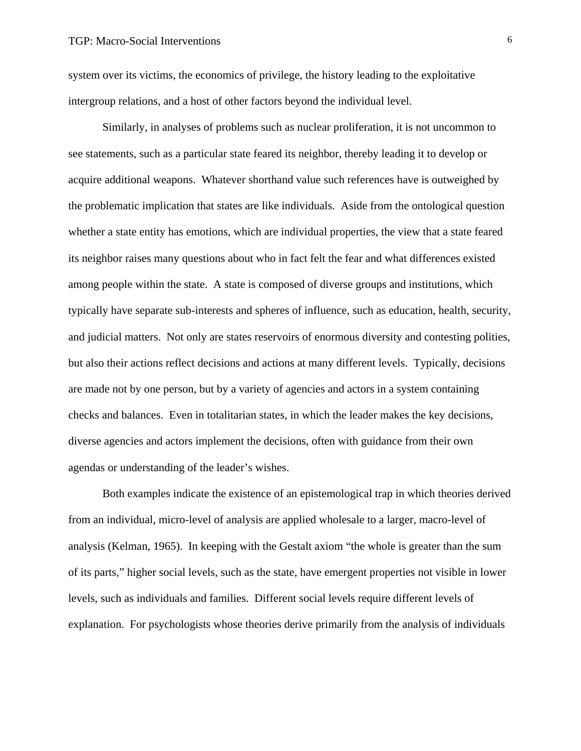system over its victims, the economics of privilege, the history leading to the exploitative intergroup relations, and a host of other factors beyond the individual level.

Similarly, in analyses of problems such as nuclear proliferation, it is not uncommon to see statements, such as a particular state feared its neighbor, thereby leading it to develop or acquire additional weapons. Whatever shorthand value such references have is outweighed by the problematic implication that states are like individuals. Aside from the ontological question whether a state entity has emotions, which are individual properties, the view that a state feared its neighbor raises many questions about who in fact felt the fear and what differences existed among people within the state. A state is composed of diverse groups and institutions, which typically have separate sub-interests and spheres of influence, such as education, health, security, and judicial matters. Not only are states reservoirs of enormous diversity and contesting polities, but also their actions reflect decisions and actions at many different levels. Typically, decisions are made not by one person, but by a variety of agencies and actors in a system containing checks and balances. Even in totalitarian states, in which the leader makes the key decisions, diverse agencies and actors implement the decisions, often with guidance from their own agendas or understanding of the leader's wishes.

Both examples indicate the existence of an epistemological trap in which theories derived from an individual, micro-level of analysis are applied wholesale to a larger, macro-level of analysis (Kelman, 1965). In keeping with the Gestalt axiom "the whole is greater than the sum of its parts," higher social levels, such as the state, have emergent properties not visible in lower levels, such as individuals and families. Different social levels require different levels of explanation. For psychologists whose theories derive primarily from the analysis of individuals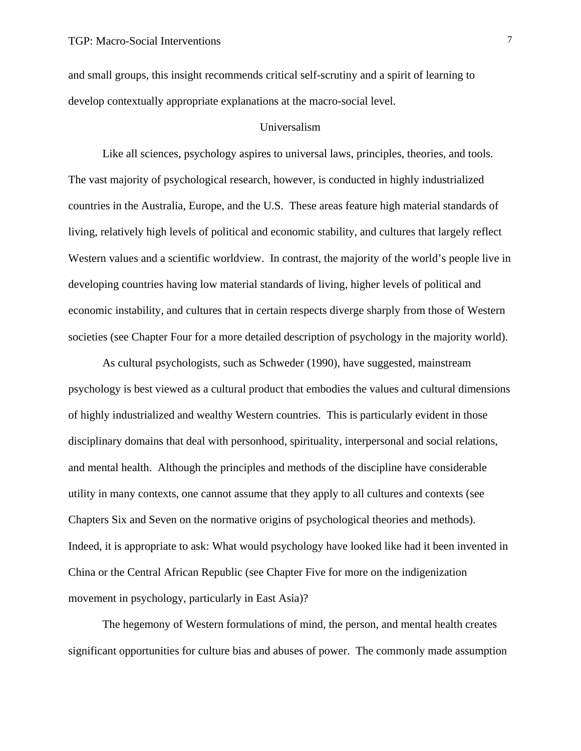and small groups, this insight recommends critical self-scrutiny and a spirit of learning to develop contextually appropriate explanations at the macro-social level.

## Universalism

Like all sciences, psychology aspires to universal laws, principles, theories, and tools. The vast majority of psychological research, however, is conducted in highly industrialized countries in the Australia, Europe, and the U.S. These areas feature high material standards of living, relatively high levels of political and economic stability, and cultures that largely reflect Western values and a scientific worldview. In contrast, the majority of the world's people live in developing countries having low material standards of living, higher levels of political and economic instability, and cultures that in certain respects diverge sharply from those of Western societies (see Chapter Four for a more detailed description of psychology in the majority world).

As cultural psychologists, such as Schweder (1990), have suggested, mainstream psychology is best viewed as a cultural product that embodies the values and cultural dimensions of highly industrialized and wealthy Western countries. This is particularly evident in those disciplinary domains that deal with personhood, spirituality, interpersonal and social relations, and mental health. Although the principles and methods of the discipline have considerable utility in many contexts, one cannot assume that they apply to all cultures and contexts (see Chapters Six and Seven on the normative origins of psychological theories and methods). Indeed, it is appropriate to ask: What would psychology have looked like had it been invented in China or the Central African Republic (see Chapter Five for more on the indigenization movement in psychology, particularly in East Asia)?

The hegemony of Western formulations of mind, the person, and mental health creates significant opportunities for culture bias and abuses of power. The commonly made assumption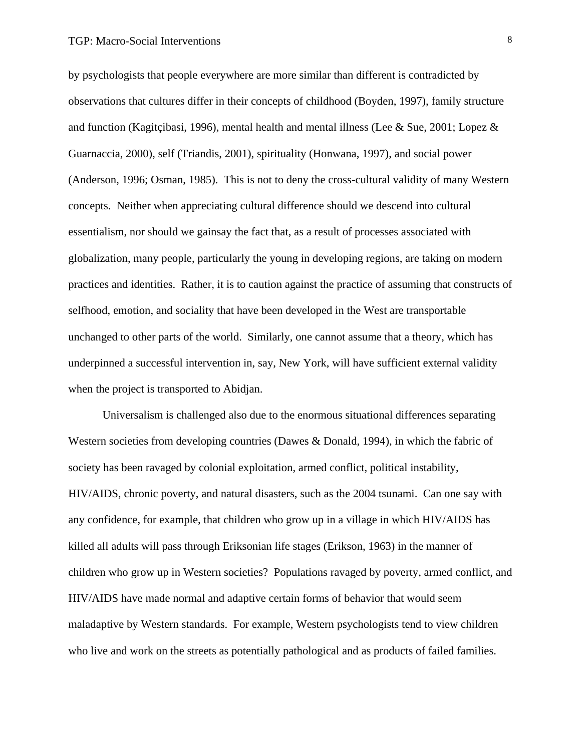by psychologists that people everywhere are more similar than different is contradicted by observations that cultures differ in their concepts of childhood (Boyden, 1997), family structure and function (Kagitçibasi, 1996), mental health and mental illness (Lee & Sue, 2001; Lopez & Guarnaccia, 2000), self (Triandis, 2001), spirituality (Honwana, 1997), and social power (Anderson, 1996; Osman, 1985). This is not to deny the cross-cultural validity of many Western concepts. Neither when appreciating cultural difference should we descend into cultural essentialism, nor should we gainsay the fact that, as a result of processes associated with globalization, many people, particularly the young in developing regions, are taking on modern practices and identities. Rather, it is to caution against the practice of assuming that constructs of selfhood, emotion, and sociality that have been developed in the West are transportable unchanged to other parts of the world. Similarly, one cannot assume that a theory, which has underpinned a successful intervention in, say, New York, will have sufficient external validity when the project is transported to Abidjan.

Universalism is challenged also due to the enormous situational differences separating Western societies from developing countries (Dawes & Donald, 1994), in which the fabric of society has been ravaged by colonial exploitation, armed conflict, political instability, HIV/AIDS, chronic poverty, and natural disasters, such as the 2004 tsunami. Can one say with any confidence, for example, that children who grow up in a village in which HIV/AIDS has killed all adults will pass through Eriksonian life stages (Erikson, 1963) in the manner of children who grow up in Western societies? Populations ravaged by poverty, armed conflict, and HIV/AIDS have made normal and adaptive certain forms of behavior that would seem maladaptive by Western standards. For example, Western psychologists tend to view children who live and work on the streets as potentially pathological and as products of failed families.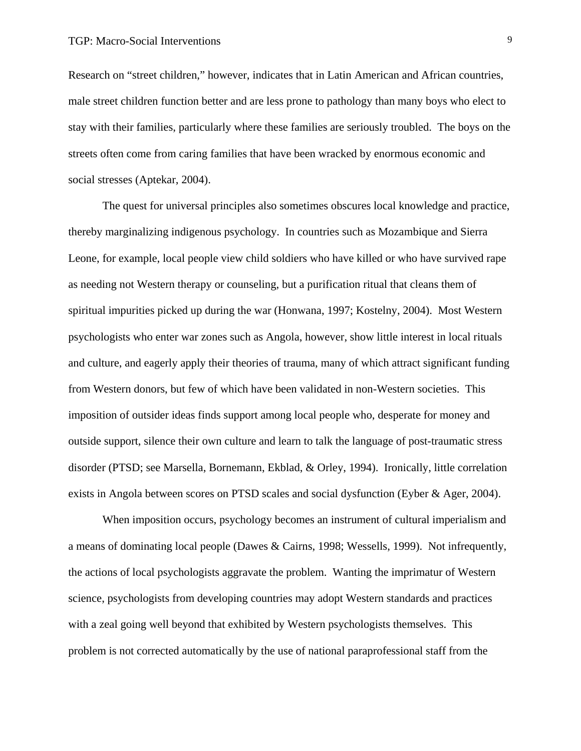Research on "street children," however, indicates that in Latin American and African countries, male street children function better and are less prone to pathology than many boys who elect to stay with their families, particularly where these families are seriously troubled. The boys on the streets often come from caring families that have been wracked by enormous economic and social stresses (Aptekar, 2004).

The quest for universal principles also sometimes obscures local knowledge and practice, thereby marginalizing indigenous psychology. In countries such as Mozambique and Sierra Leone, for example, local people view child soldiers who have killed or who have survived rape as needing not Western therapy or counseling, but a purification ritual that cleans them of spiritual impurities picked up during the war (Honwana, 1997; Kostelny, 2004). Most Western psychologists who enter war zones such as Angola, however, show little interest in local rituals and culture, and eagerly apply their theories of trauma, many of which attract significant funding from Western donors, but few of which have been validated in non-Western societies. This imposition of outsider ideas finds support among local people who, desperate for money and outside support, silence their own culture and learn to talk the language of post-traumatic stress disorder (PTSD; see Marsella, Bornemann, Ekblad, & Orley, 1994). Ironically, little correlation exists in Angola between scores on PTSD scales and social dysfunction (Eyber & Ager, 2004).

When imposition occurs, psychology becomes an instrument of cultural imperialism and a means of dominating local people (Dawes & Cairns, 1998; Wessells, 1999). Not infrequently, the actions of local psychologists aggravate the problem. Wanting the imprimatur of Western science, psychologists from developing countries may adopt Western standards and practices with a zeal going well beyond that exhibited by Western psychologists themselves. This problem is not corrected automatically by the use of national paraprofessional staff from the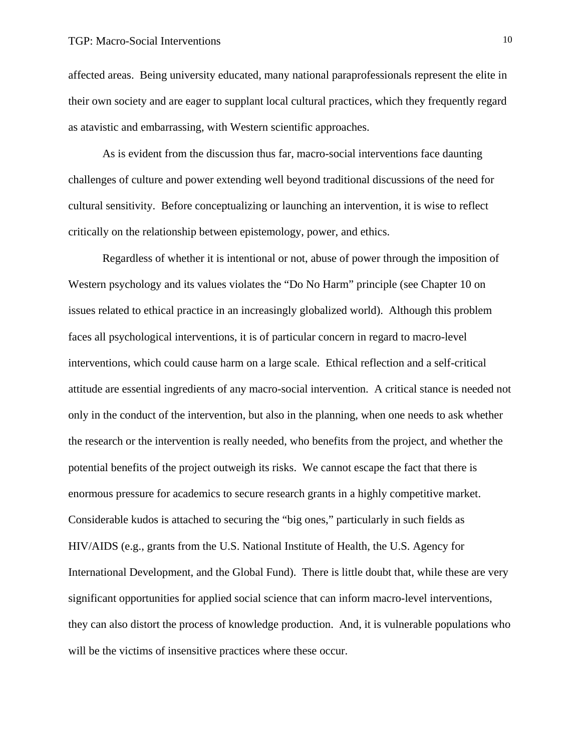affected areas. Being university educated, many national paraprofessionals represent the elite in their own society and are eager to supplant local cultural practices, which they frequently regard as atavistic and embarrassing, with Western scientific approaches.

As is evident from the discussion thus far, macro-social interventions face daunting challenges of culture and power extending well beyond traditional discussions of the need for cultural sensitivity. Before conceptualizing or launching an intervention, it is wise to reflect critically on the relationship between epistemology, power, and ethics.

Regardless of whether it is intentional or not, abuse of power through the imposition of Western psychology and its values violates the "Do No Harm" principle (see Chapter 10 on issues related to ethical practice in an increasingly globalized world). Although this problem faces all psychological interventions, it is of particular concern in regard to macro-level interventions, which could cause harm on a large scale. Ethical reflection and a self-critical attitude are essential ingredients of any macro-social intervention. A critical stance is needed not only in the conduct of the intervention, but also in the planning, when one needs to ask whether the research or the intervention is really needed, who benefits from the project, and whether the potential benefits of the project outweigh its risks. We cannot escape the fact that there is enormous pressure for academics to secure research grants in a highly competitive market. Considerable kudos is attached to securing the "big ones," particularly in such fields as HIV/AIDS (e.g., grants from the U.S. National Institute of Health, the U.S. Agency for International Development, and the Global Fund). There is little doubt that, while these are very significant opportunities for applied social science that can inform macro-level interventions, they can also distort the process of knowledge production. And, it is vulnerable populations who will be the victims of insensitive practices where these occur.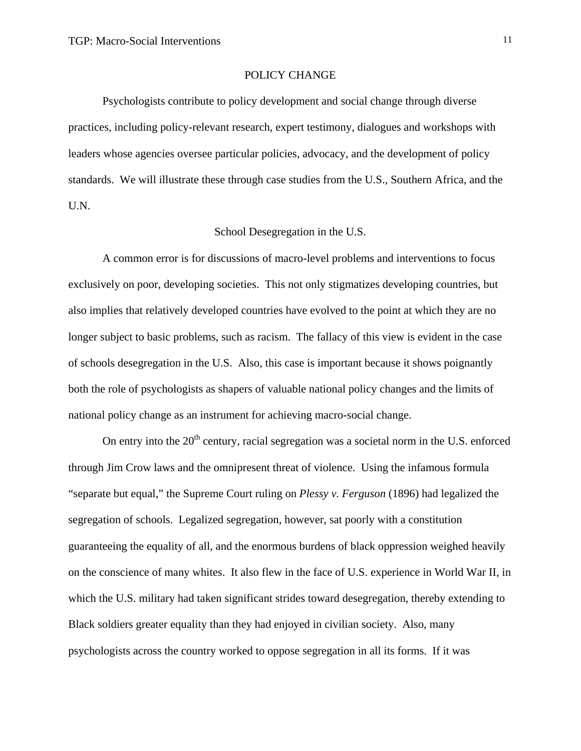#### POLICY CHANGE

Psychologists contribute to policy development and social change through diverse practices, including policy-relevant research, expert testimony, dialogues and workshops with leaders whose agencies oversee particular policies, advocacy, and the development of policy standards. We will illustrate these through case studies from the U.S., Southern Africa, and the U.N.

#### School Desegregation in the U.S.

A common error is for discussions of macro-level problems and interventions to focus exclusively on poor, developing societies. This not only stigmatizes developing countries, but also implies that relatively developed countries have evolved to the point at which they are no longer subject to basic problems, such as racism. The fallacy of this view is evident in the case of schools desegregation in the U.S. Also, this case is important because it shows poignantly both the role of psychologists as shapers of valuable national policy changes and the limits of national policy change as an instrument for achieving macro-social change.

On entry into the  $20<sup>th</sup>$  century, racial segregation was a societal norm in the U.S. enforced through Jim Crow laws and the omnipresent threat of violence. Using the infamous formula "separate but equal," the Supreme Court ruling on *Plessy v. Ferguson* (1896) had legalized the segregation of schools. Legalized segregation, however, sat poorly with a constitution guaranteeing the equality of all, and the enormous burdens of black oppression weighed heavily on the conscience of many whites. It also flew in the face of U.S. experience in World War II, in which the U.S. military had taken significant strides toward desegregation, thereby extending to Black soldiers greater equality than they had enjoyed in civilian society. Also, many psychologists across the country worked to oppose segregation in all its forms. If it was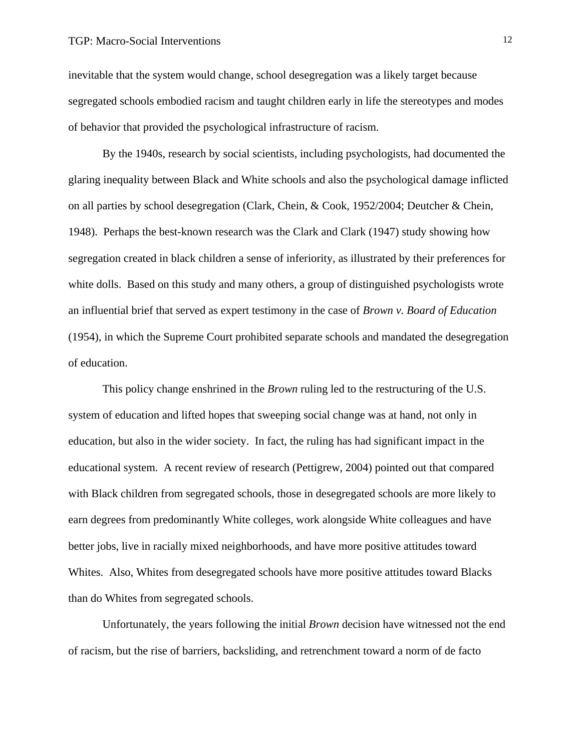inevitable that the system would change, school desegregation was a likely target because segregated schools embodied racism and taught children early in life the stereotypes and modes of behavior that provided the psychological infrastructure of racism.

By the 1940s, research by social scientists, including psychologists, had documented the glaring inequality between Black and White schools and also the psychological damage inflicted on all parties by school desegregation (Clark, Chein, & Cook, 1952/2004; Deutcher & Chein, 1948). Perhaps the best-known research was the Clark and Clark (1947) study showing how segregation created in black children a sense of inferiority, as illustrated by their preferences for white dolls. Based on this study and many others, a group of distinguished psychologists wrote an influential brief that served as expert testimony in the case of *Brown v. Board of Education* (1954), in which the Supreme Court prohibited separate schools and mandated the desegregation of education.

This policy change enshrined in the *Brown* ruling led to the restructuring of the U.S. system of education and lifted hopes that sweeping social change was at hand, not only in education, but also in the wider society. In fact, the ruling has had significant impact in the educational system. A recent review of research (Pettigrew, 2004) pointed out that compared with Black children from segregated schools, those in desegregated schools are more likely to earn degrees from predominantly White colleges, work alongside White colleagues and have better jobs, live in racially mixed neighborhoods, and have more positive attitudes toward Whites. Also, Whites from desegregated schools have more positive attitudes toward Blacks than do Whites from segregated schools.

Unfortunately, the years following the initial *Brown* decision have witnessed not the end of racism, but the rise of barriers, backsliding, and retrenchment toward a norm of de facto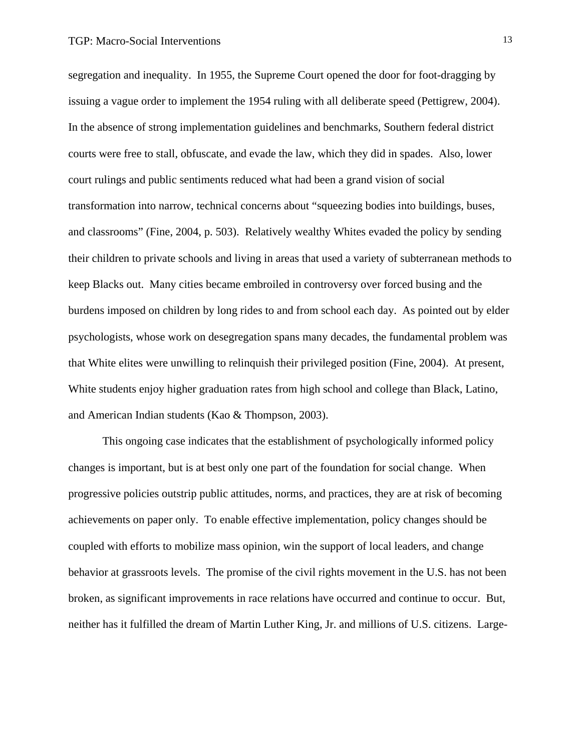segregation and inequality. In 1955, the Supreme Court opened the door for foot-dragging by issuing a vague order to implement the 1954 ruling with all deliberate speed (Pettigrew, 2004). In the absence of strong implementation guidelines and benchmarks, Southern federal district courts were free to stall, obfuscate, and evade the law, which they did in spades. Also, lower court rulings and public sentiments reduced what had been a grand vision of social transformation into narrow, technical concerns about "squeezing bodies into buildings, buses, and classrooms" (Fine, 2004, p. 503). Relatively wealthy Whites evaded the policy by sending their children to private schools and living in areas that used a variety of subterranean methods to keep Blacks out. Many cities became embroiled in controversy over forced busing and the burdens imposed on children by long rides to and from school each day. As pointed out by elder psychologists, whose work on desegregation spans many decades, the fundamental problem was that White elites were unwilling to relinquish their privileged position (Fine, 2004). At present, White students enjoy higher graduation rates from high school and college than Black, Latino, and American Indian students (Kao & Thompson, 2003).

This ongoing case indicates that the establishment of psychologically informed policy changes is important, but is at best only one part of the foundation for social change. When progressive policies outstrip public attitudes, norms, and practices, they are at risk of becoming achievements on paper only. To enable effective implementation, policy changes should be coupled with efforts to mobilize mass opinion, win the support of local leaders, and change behavior at grassroots levels. The promise of the civil rights movement in the U.S. has not been broken, as significant improvements in race relations have occurred and continue to occur. But, neither has it fulfilled the dream of Martin Luther King, Jr. and millions of U.S. citizens. Large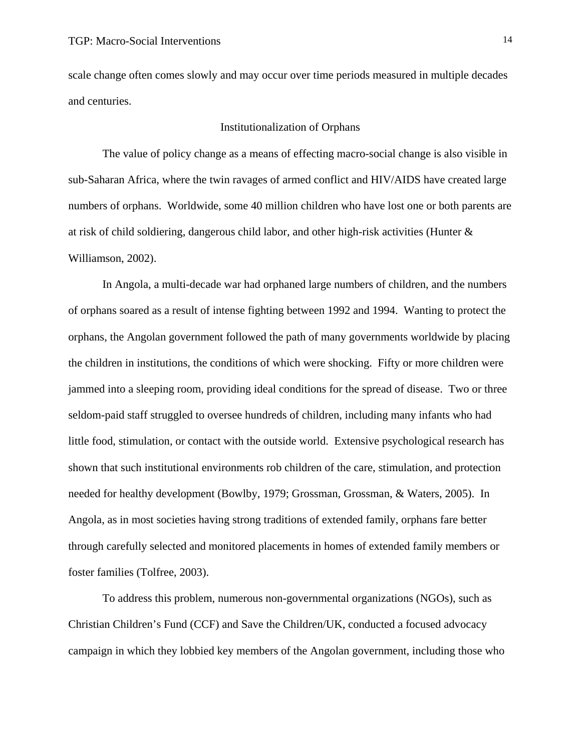scale change often comes slowly and may occur over time periods measured in multiple decades and centuries.

## Institutionalization of Orphans

The value of policy change as a means of effecting macro-social change is also visible in sub-Saharan Africa, where the twin ravages of armed conflict and HIV/AIDS have created large numbers of orphans. Worldwide, some 40 million children who have lost one or both parents are at risk of child soldiering, dangerous child labor, and other high-risk activities (Hunter & Williamson, 2002).

In Angola, a multi-decade war had orphaned large numbers of children, and the numbers of orphans soared as a result of intense fighting between 1992 and 1994. Wanting to protect the orphans, the Angolan government followed the path of many governments worldwide by placing the children in institutions, the conditions of which were shocking. Fifty or more children were jammed into a sleeping room, providing ideal conditions for the spread of disease. Two or three seldom-paid staff struggled to oversee hundreds of children, including many infants who had little food, stimulation, or contact with the outside world. Extensive psychological research has shown that such institutional environments rob children of the care, stimulation, and protection needed for healthy development (Bowlby, 1979; Grossman, Grossman, & Waters, 2005). In Angola, as in most societies having strong traditions of extended family, orphans fare better through carefully selected and monitored placements in homes of extended family members or foster families (Tolfree, 2003).

To address this problem, numerous non-governmental organizations (NGOs), such as Christian Children's Fund (CCF) and Save the Children/UK, conducted a focused advocacy campaign in which they lobbied key members of the Angolan government, including those who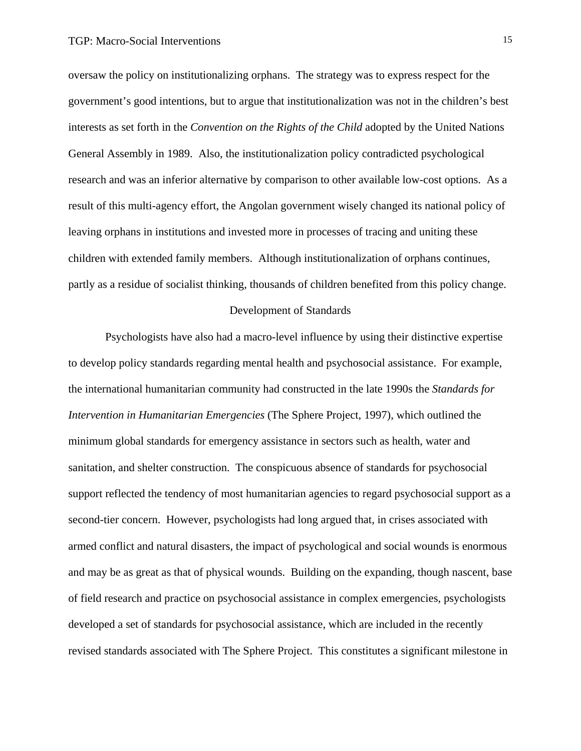oversaw the policy on institutionalizing orphans. The strategy was to express respect for the government's good intentions, but to argue that institutionalization was not in the children's best interests as set forth in the *Convention on the Rights of the Child* adopted by the United Nations General Assembly in 1989. Also, the institutionalization policy contradicted psychological research and was an inferior alternative by comparison to other available low-cost options. As a result of this multi-agency effort, the Angolan government wisely changed its national policy of leaving orphans in institutions and invested more in processes of tracing and uniting these children with extended family members. Although institutionalization of orphans continues, partly as a residue of socialist thinking, thousands of children benefited from this policy change.

#### Development of Standards

 Psychologists have also had a macro-level influence by using their distinctive expertise to develop policy standards regarding mental health and psychosocial assistance. For example, the international humanitarian community had constructed in the late 1990s the *Standards for Intervention in Humanitarian Emergencies* (The Sphere Project, 1997), which outlined the minimum global standards for emergency assistance in sectors such as health, water and sanitation, and shelter construction. The conspicuous absence of standards for psychosocial support reflected the tendency of most humanitarian agencies to regard psychosocial support as a second-tier concern. However, psychologists had long argued that, in crises associated with armed conflict and natural disasters, the impact of psychological and social wounds is enormous and may be as great as that of physical wounds. Building on the expanding, though nascent, base of field research and practice on psychosocial assistance in complex emergencies, psychologists developed a set of standards for psychosocial assistance, which are included in the recently revised standards associated with The Sphere Project. This constitutes a significant milestone in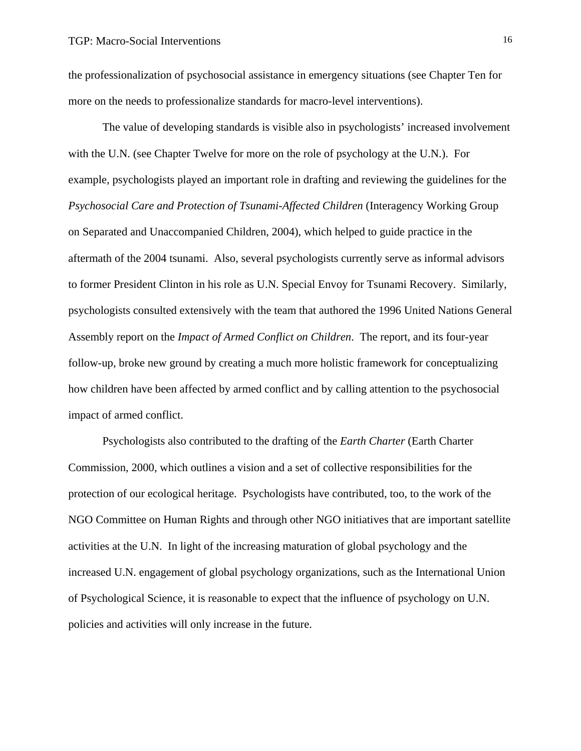the professionalization of psychosocial assistance in emergency situations (see Chapter Ten for more on the needs to professionalize standards for macro-level interventions).

The value of developing standards is visible also in psychologists' increased involvement with the U.N. (see Chapter Twelve for more on the role of psychology at the U.N.). For example, psychologists played an important role in drafting and reviewing the guidelines for the *Psychosocial Care and Protection of Tsunami-Affected Children* (Interagency Working Group on Separated and Unaccompanied Children, 2004), which helped to guide practice in the aftermath of the 2004 tsunami. Also, several psychologists currently serve as informal advisors to former President Clinton in his role as U.N. Special Envoy for Tsunami Recovery. Similarly, psychologists consulted extensively with the team that authored the 1996 United Nations General Assembly report on the *Impact of Armed Conflict on Children*. The report, and its four-year follow-up, broke new ground by creating a much more holistic framework for conceptualizing how children have been affected by armed conflict and by calling attention to the psychosocial impact of armed conflict.

Psychologists also contributed to the drafting of the *Earth Charter* (Earth Charter Commission, 2000, which outlines a vision and a set of collective responsibilities for the protection of our ecological heritage. Psychologists have contributed, too, to the work of the NGO Committee on Human Rights and through other NGO initiatives that are important satellite activities at the U.N. In light of the increasing maturation of global psychology and the increased U.N. engagement of global psychology organizations, such as the International Union of Psychological Science, it is reasonable to expect that the influence of psychology on U.N. policies and activities will only increase in the future.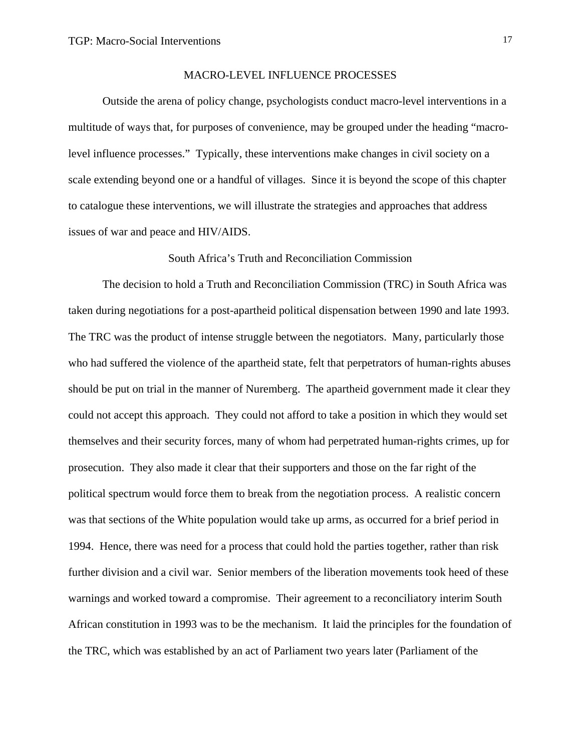#### MACRO-LEVEL INFLUENCE PROCESSES

Outside the arena of policy change, psychologists conduct macro-level interventions in a multitude of ways that, for purposes of convenience, may be grouped under the heading "macrolevel influence processes." Typically, these interventions make changes in civil society on a scale extending beyond one or a handful of villages. Since it is beyond the scope of this chapter to catalogue these interventions, we will illustrate the strategies and approaches that address issues of war and peace and HIV/AIDS.

South Africa's Truth and Reconciliation Commission

The decision to hold a Truth and Reconciliation Commission (TRC) in South Africa was taken during negotiations for a post-apartheid political dispensation between 1990 and late 1993. The TRC was the product of intense struggle between the negotiators. Many, particularly those who had suffered the violence of the apartheid state, felt that perpetrators of human-rights abuses should be put on trial in the manner of Nuremberg. The apartheid government made it clear they could not accept this approach. They could not afford to take a position in which they would set themselves and their security forces, many of whom had perpetrated human-rights crimes, up for prosecution. They also made it clear that their supporters and those on the far right of the political spectrum would force them to break from the negotiation process. A realistic concern was that sections of the White population would take up arms, as occurred for a brief period in 1994. Hence, there was need for a process that could hold the parties together, rather than risk further division and a civil war. Senior members of the liberation movements took heed of these warnings and worked toward a compromise. Their agreement to a reconciliatory interim South African constitution in 1993 was to be the mechanism. It laid the principles for the foundation of the TRC, which was established by an act of Parliament two years later (Parliament of the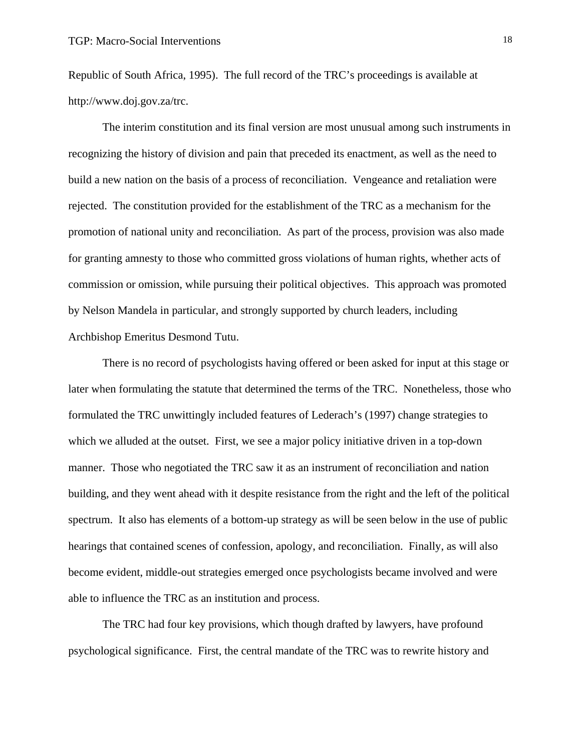Republic of South Africa, 1995). The full record of the TRC's proceedings is available at http://www.doj.gov.za/trc.

The interim constitution and its final version are most unusual among such instruments in recognizing the history of division and pain that preceded its enactment, as well as the need to build a new nation on the basis of a process of reconciliation. Vengeance and retaliation were rejected. The constitution provided for the establishment of the TRC as a mechanism for the promotion of national unity and reconciliation. As part of the process, provision was also made for granting amnesty to those who committed gross violations of human rights, whether acts of commission or omission, while pursuing their political objectives. This approach was promoted by Nelson Mandela in particular, and strongly supported by church leaders, including Archbishop Emeritus Desmond Tutu.

There is no record of psychologists having offered or been asked for input at this stage or later when formulating the statute that determined the terms of the TRC. Nonetheless, those who formulated the TRC unwittingly included features of Lederach's (1997) change strategies to which we alluded at the outset. First, we see a major policy initiative driven in a top-down manner. Those who negotiated the TRC saw it as an instrument of reconciliation and nation building, and they went ahead with it despite resistance from the right and the left of the political spectrum. It also has elements of a bottom-up strategy as will be seen below in the use of public hearings that contained scenes of confession, apology, and reconciliation. Finally, as will also become evident, middle-out strategies emerged once psychologists became involved and were able to influence the TRC as an institution and process.

The TRC had four key provisions, which though drafted by lawyers, have profound psychological significance. First, the central mandate of the TRC was to rewrite history and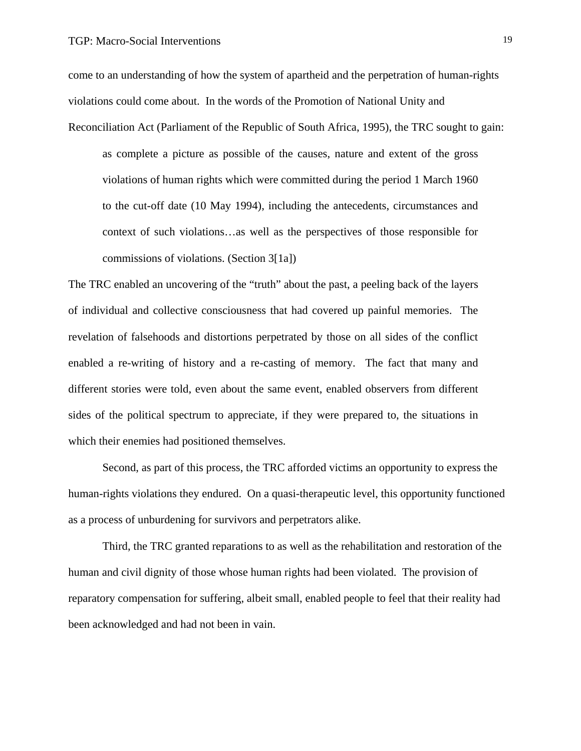come to an understanding of how the system of apartheid and the perpetration of human-rights violations could come about. In the words of the Promotion of National Unity and Reconciliation Act (Parliament of the Republic of South Africa, 1995), the TRC sought to gain:

as complete a picture as possible of the causes, nature and extent of the gross violations of human rights which were committed during the period 1 March 1960 to the cut-off date (10 May 1994), including the antecedents, circumstances and context of such violations…as well as the perspectives of those responsible for commissions of violations. (Section 3[1a])

The TRC enabled an uncovering of the "truth" about the past, a peeling back of the layers of individual and collective consciousness that had covered up painful memories. The revelation of falsehoods and distortions perpetrated by those on all sides of the conflict enabled a re-writing of history and a re-casting of memory. The fact that many and different stories were told, even about the same event, enabled observers from different sides of the political spectrum to appreciate, if they were prepared to, the situations in which their enemies had positioned themselves.

Second, as part of this process, the TRC afforded victims an opportunity to express the human-rights violations they endured. On a quasi-therapeutic level, this opportunity functioned as a process of unburdening for survivors and perpetrators alike.

Third, the TRC granted reparations to as well as the rehabilitation and restoration of the human and civil dignity of those whose human rights had been violated. The provision of reparatory compensation for suffering, albeit small, enabled people to feel that their reality had been acknowledged and had not been in vain.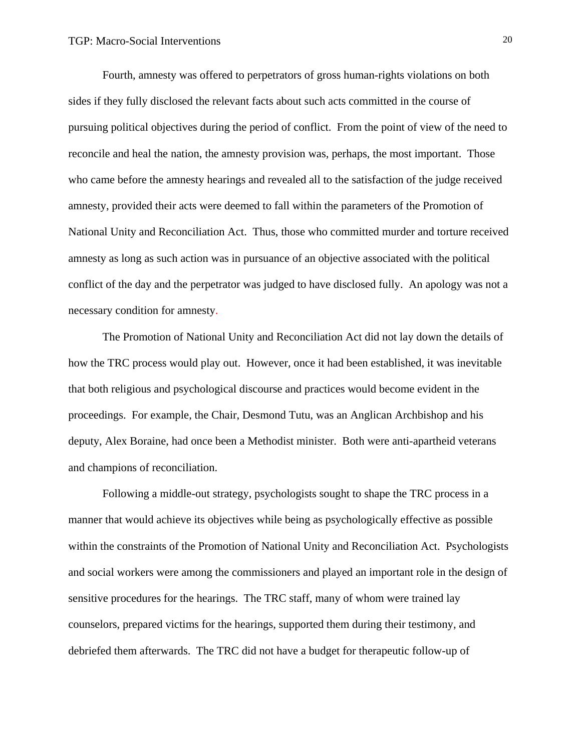Fourth, amnesty was offered to perpetrators of gross human-rights violations on both sides if they fully disclosed the relevant facts about such acts committed in the course of pursuing political objectives during the period of conflict. From the point of view of the need to reconcile and heal the nation, the amnesty provision was, perhaps, the most important. Those who came before the amnesty hearings and revealed all to the satisfaction of the judge received amnesty, provided their acts were deemed to fall within the parameters of the Promotion of National Unity and Reconciliation Act. Thus, those who committed murder and torture received amnesty as long as such action was in pursuance of an objective associated with the political conflict of the day and the perpetrator was judged to have disclosed fully. An apology was not a necessary condition for amnesty.

The Promotion of National Unity and Reconciliation Act did not lay down the details of how the TRC process would play out. However, once it had been established, it was inevitable that both religious and psychological discourse and practices would become evident in the proceedings. For example, the Chair, Desmond Tutu, was an Anglican Archbishop and his deputy, Alex Boraine, had once been a Methodist minister. Both were anti-apartheid veterans and champions of reconciliation.

Following a middle-out strategy, psychologists sought to shape the TRC process in a manner that would achieve its objectives while being as psychologically effective as possible within the constraints of the Promotion of National Unity and Reconciliation Act. Psychologists and social workers were among the commissioners and played an important role in the design of sensitive procedures for the hearings. The TRC staff, many of whom were trained lay counselors, prepared victims for the hearings, supported them during their testimony, and debriefed them afterwards. The TRC did not have a budget for therapeutic follow-up of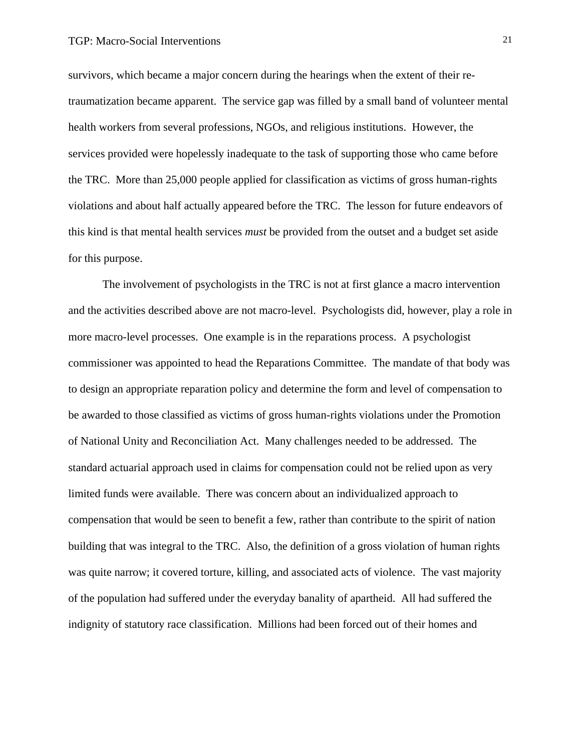survivors, which became a major concern during the hearings when the extent of their retraumatization became apparent. The service gap was filled by a small band of volunteer mental health workers from several professions, NGOs, and religious institutions. However, the services provided were hopelessly inadequate to the task of supporting those who came before the TRC. More than 25,000 people applied for classification as victims of gross human-rights violations and about half actually appeared before the TRC. The lesson for future endeavors of this kind is that mental health services *must* be provided from the outset and a budget set aside for this purpose.

The involvement of psychologists in the TRC is not at first glance a macro intervention and the activities described above are not macro-level. Psychologists did, however, play a role in more macro-level processes. One example is in the reparations process. A psychologist commissioner was appointed to head the Reparations Committee. The mandate of that body was to design an appropriate reparation policy and determine the form and level of compensation to be awarded to those classified as victims of gross human-rights violations under the Promotion of National Unity and Reconciliation Act. Many challenges needed to be addressed. The standard actuarial approach used in claims for compensation could not be relied upon as very limited funds were available. There was concern about an individualized approach to compensation that would be seen to benefit a few, rather than contribute to the spirit of nation building that was integral to the TRC. Also, the definition of a gross violation of human rights was quite narrow; it covered torture, killing, and associated acts of violence. The vast majority of the population had suffered under the everyday banality of apartheid. All had suffered the indignity of statutory race classification. Millions had been forced out of their homes and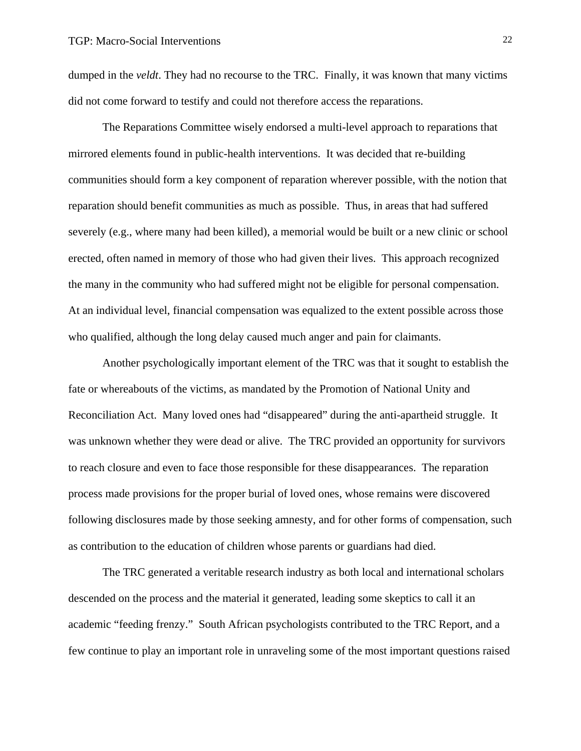dumped in the *veldt*. They had no recourse to the TRC. Finally, it was known that many victims did not come forward to testify and could not therefore access the reparations.

The Reparations Committee wisely endorsed a multi-level approach to reparations that mirrored elements found in public-health interventions. It was decided that re-building communities should form a key component of reparation wherever possible, with the notion that reparation should benefit communities as much as possible. Thus, in areas that had suffered severely (e.g., where many had been killed), a memorial would be built or a new clinic or school erected, often named in memory of those who had given their lives. This approach recognized the many in the community who had suffered might not be eligible for personal compensation. At an individual level, financial compensation was equalized to the extent possible across those who qualified, although the long delay caused much anger and pain for claimants.

Another psychologically important element of the TRC was that it sought to establish the fate or whereabouts of the victims, as mandated by the Promotion of National Unity and Reconciliation Act. Many loved ones had "disappeared" during the anti-apartheid struggle. It was unknown whether they were dead or alive. The TRC provided an opportunity for survivors to reach closure and even to face those responsible for these disappearances. The reparation process made provisions for the proper burial of loved ones, whose remains were discovered following disclosures made by those seeking amnesty, and for other forms of compensation, such as contribution to the education of children whose parents or guardians had died.

The TRC generated a veritable research industry as both local and international scholars descended on the process and the material it generated, leading some skeptics to call it an academic "feeding frenzy." South African psychologists contributed to the TRC Report, and a few continue to play an important role in unraveling some of the most important questions raised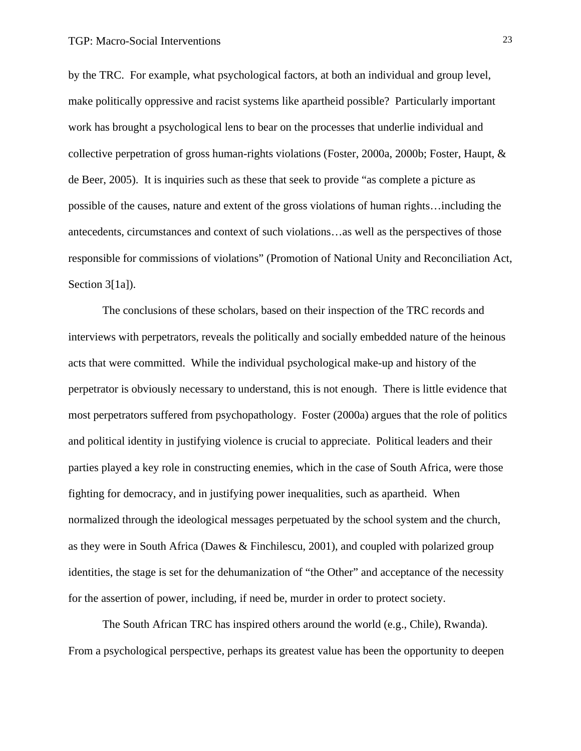by the TRC. For example, what psychological factors, at both an individual and group level, make politically oppressive and racist systems like apartheid possible? Particularly important work has brought a psychological lens to bear on the processes that underlie individual and collective perpetration of gross human-rights violations (Foster, 2000a, 2000b; Foster, Haupt, & de Beer, 2005). It is inquiries such as these that seek to provide "as complete a picture as possible of the causes, nature and extent of the gross violations of human rights…including the antecedents, circumstances and context of such violations…as well as the perspectives of those responsible for commissions of violations" (Promotion of National Unity and Reconciliation Act, Section 3[1a]).

The conclusions of these scholars, based on their inspection of the TRC records and interviews with perpetrators, reveals the politically and socially embedded nature of the heinous acts that were committed. While the individual psychological make-up and history of the perpetrator is obviously necessary to understand, this is not enough. There is little evidence that most perpetrators suffered from psychopathology. Foster (2000a) argues that the role of politics and political identity in justifying violence is crucial to appreciate. Political leaders and their parties played a key role in constructing enemies, which in the case of South Africa, were those fighting for democracy, and in justifying power inequalities, such as apartheid. When normalized through the ideological messages perpetuated by the school system and the church, as they were in South Africa (Dawes & Finchilescu, 2001), and coupled with polarized group identities, the stage is set for the dehumanization of "the Other" and acceptance of the necessity for the assertion of power, including, if need be, murder in order to protect society.

The South African TRC has inspired others around the world (e.g., Chile), Rwanda). From a psychological perspective, perhaps its greatest value has been the opportunity to deepen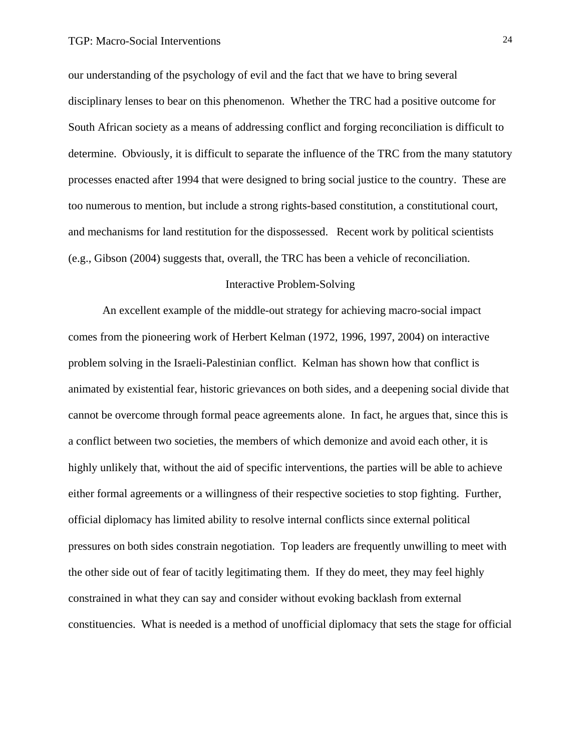our understanding of the psychology of evil and the fact that we have to bring several disciplinary lenses to bear on this phenomenon. Whether the TRC had a positive outcome for South African society as a means of addressing conflict and forging reconciliation is difficult to determine. Obviously, it is difficult to separate the influence of the TRC from the many statutory processes enacted after 1994 that were designed to bring social justice to the country. These are too numerous to mention, but include a strong rights-based constitution, a constitutional court, and mechanisms for land restitution for the dispossessed. Recent work by political scientists (e.g., Gibson (2004) suggests that, overall, the TRC has been a vehicle of reconciliation.

# Interactive Problem-Solving

An excellent example of the middle-out strategy for achieving macro-social impact comes from the pioneering work of Herbert Kelman (1972, 1996, 1997, 2004) on interactive problem solving in the Israeli-Palestinian conflict. Kelman has shown how that conflict is animated by existential fear, historic grievances on both sides, and a deepening social divide that cannot be overcome through formal peace agreements alone. In fact, he argues that, since this is a conflict between two societies, the members of which demonize and avoid each other, it is highly unlikely that, without the aid of specific interventions, the parties will be able to achieve either formal agreements or a willingness of their respective societies to stop fighting. Further, official diplomacy has limited ability to resolve internal conflicts since external political pressures on both sides constrain negotiation. Top leaders are frequently unwilling to meet with the other side out of fear of tacitly legitimating them. If they do meet, they may feel highly constrained in what they can say and consider without evoking backlash from external constituencies. What is needed is a method of unofficial diplomacy that sets the stage for official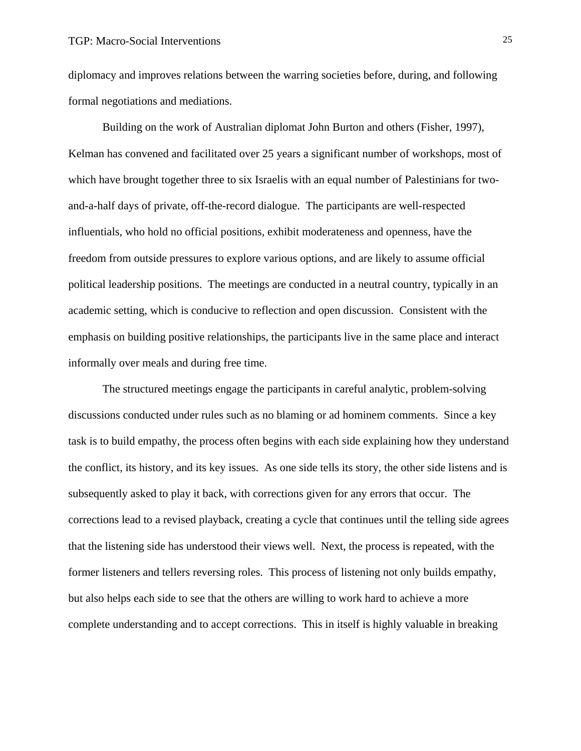diplomacy and improves relations between the warring societies before, during, and following formal negotiations and mediations.

Building on the work of Australian diplomat John Burton and others (Fisher, 1997), Kelman has convened and facilitated over 25 years a significant number of workshops, most of which have brought together three to six Israelis with an equal number of Palestinians for twoand-a-half days of private, off-the-record dialogue. The participants are well-respected influentials, who hold no official positions, exhibit moderateness and openness, have the freedom from outside pressures to explore various options, and are likely to assume official political leadership positions. The meetings are conducted in a neutral country, typically in an academic setting, which is conducive to reflection and open discussion. Consistent with the emphasis on building positive relationships, the participants live in the same place and interact informally over meals and during free time.

The structured meetings engage the participants in careful analytic, problem-solving discussions conducted under rules such as no blaming or ad hominem comments. Since a key task is to build empathy, the process often begins with each side explaining how they understand the conflict, its history, and its key issues. As one side tells its story, the other side listens and is subsequently asked to play it back, with corrections given for any errors that occur. The corrections lead to a revised playback, creating a cycle that continues until the telling side agrees that the listening side has understood their views well. Next, the process is repeated, with the former listeners and tellers reversing roles. This process of listening not only builds empathy, but also helps each side to see that the others are willing to work hard to achieve a more complete understanding and to accept corrections. This in itself is highly valuable in breaking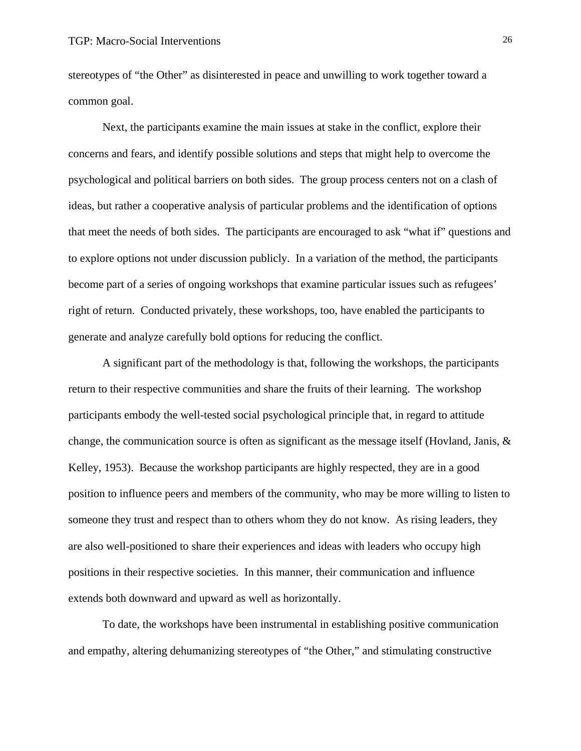stereotypes of "the Other" as disinterested in peace and unwilling to work together toward a common goal.

Next, the participants examine the main issues at stake in the conflict, explore their concerns and fears, and identify possible solutions and steps that might help to overcome the psychological and political barriers on both sides. The group process centers not on a clash of ideas, but rather a cooperative analysis of particular problems and the identification of options that meet the needs of both sides. The participants are encouraged to ask "what if" questions and to explore options not under discussion publicly. In a variation of the method, the participants become part of a series of ongoing workshops that examine particular issues such as refugees' right of return. Conducted privately, these workshops, too, have enabled the participants to generate and analyze carefully bold options for reducing the conflict.

A significant part of the methodology is that, following the workshops, the participants return to their respective communities and share the fruits of their learning. The workshop participants embody the well-tested social psychological principle that, in regard to attitude change, the communication source is often as significant as the message itself (Hovland, Janis,  $\&$ Kelley, 1953). Because the workshop participants are highly respected, they are in a good position to influence peers and members of the community, who may be more willing to listen to someone they trust and respect than to others whom they do not know. As rising leaders, they are also well-positioned to share their experiences and ideas with leaders who occupy high positions in their respective societies. In this manner, their communication and influence extends both downward and upward as well as horizontally.

To date, the workshops have been instrumental in establishing positive communication and empathy, altering dehumanizing stereotypes of "the Other," and stimulating constructive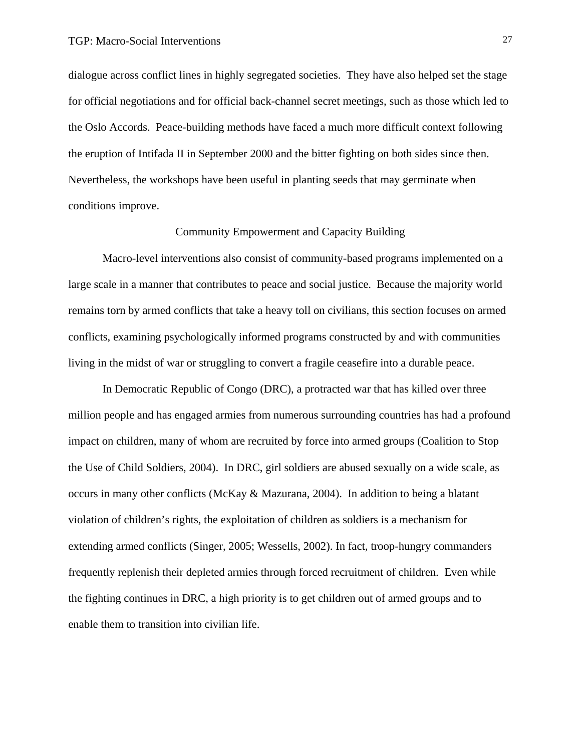dialogue across conflict lines in highly segregated societies. They have also helped set the stage for official negotiations and for official back-channel secret meetings, such as those which led to the Oslo Accords. Peace-building methods have faced a much more difficult context following the eruption of Intifada II in September 2000 and the bitter fighting on both sides since then. Nevertheless, the workshops have been useful in planting seeds that may germinate when conditions improve.

#### Community Empowerment and Capacity Building

Macro-level interventions also consist of community-based programs implemented on a large scale in a manner that contributes to peace and social justice. Because the majority world remains torn by armed conflicts that take a heavy toll on civilians, this section focuses on armed conflicts, examining psychologically informed programs constructed by and with communities living in the midst of war or struggling to convert a fragile ceasefire into a durable peace.

In Democratic Republic of Congo (DRC), a protracted war that has killed over three million people and has engaged armies from numerous surrounding countries has had a profound impact on children, many of whom are recruited by force into armed groups (Coalition to Stop the Use of Child Soldiers, 2004). In DRC, girl soldiers are abused sexually on a wide scale, as occurs in many other conflicts (McKay & Mazurana, 2004). In addition to being a blatant violation of children's rights, the exploitation of children as soldiers is a mechanism for extending armed conflicts (Singer, 2005; Wessells, 2002). In fact, troop-hungry commanders frequently replenish their depleted armies through forced recruitment of children. Even while the fighting continues in DRC, a high priority is to get children out of armed groups and to enable them to transition into civilian life.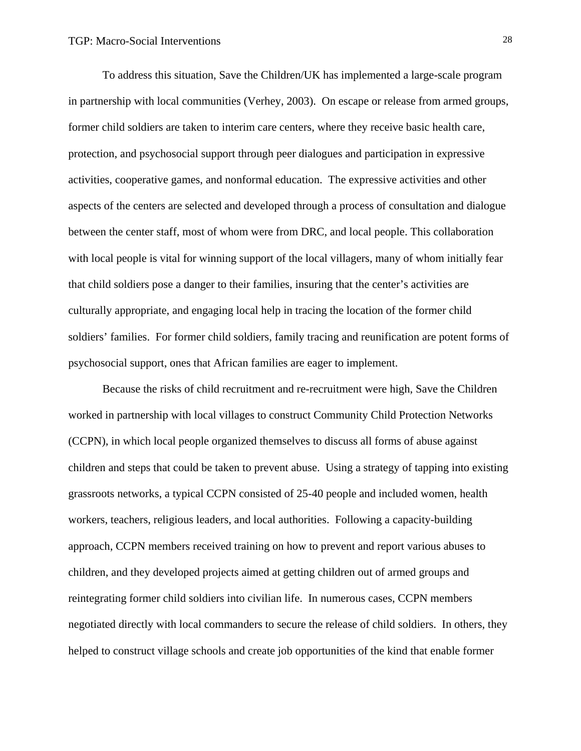To address this situation, Save the Children/UK has implemented a large-scale program in partnership with local communities (Verhey, 2003). On escape or release from armed groups, former child soldiers are taken to interim care centers, where they receive basic health care, protection, and psychosocial support through peer dialogues and participation in expressive activities, cooperative games, and nonformal education. The expressive activities and other aspects of the centers are selected and developed through a process of consultation and dialogue between the center staff, most of whom were from DRC, and local people. This collaboration with local people is vital for winning support of the local villagers, many of whom initially fear that child soldiers pose a danger to their families, insuring that the center's activities are culturally appropriate, and engaging local help in tracing the location of the former child soldiers' families. For former child soldiers, family tracing and reunification are potent forms of psychosocial support, ones that African families are eager to implement.

Because the risks of child recruitment and re-recruitment were high, Save the Children worked in partnership with local villages to construct Community Child Protection Networks (CCPN), in which local people organized themselves to discuss all forms of abuse against children and steps that could be taken to prevent abuse. Using a strategy of tapping into existing grassroots networks, a typical CCPN consisted of 25-40 people and included women, health workers, teachers, religious leaders, and local authorities. Following a capacity-building approach, CCPN members received training on how to prevent and report various abuses to children, and they developed projects aimed at getting children out of armed groups and reintegrating former child soldiers into civilian life. In numerous cases, CCPN members negotiated directly with local commanders to secure the release of child soldiers. In others, they helped to construct village schools and create job opportunities of the kind that enable former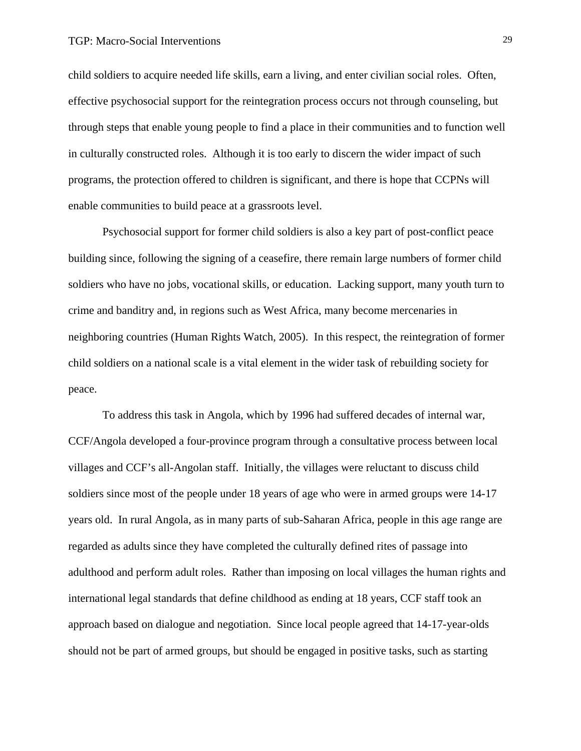child soldiers to acquire needed life skills, earn a living, and enter civilian social roles. Often, effective psychosocial support for the reintegration process occurs not through counseling, but through steps that enable young people to find a place in their communities and to function well in culturally constructed roles. Although it is too early to discern the wider impact of such programs, the protection offered to children is significant, and there is hope that CCPNs will enable communities to build peace at a grassroots level.

 Psychosocial support for former child soldiers is also a key part of post-conflict peace building since, following the signing of a ceasefire, there remain large numbers of former child soldiers who have no jobs, vocational skills, or education. Lacking support, many youth turn to crime and banditry and, in regions such as West Africa, many become mercenaries in neighboring countries (Human Rights Watch, 2005). In this respect, the reintegration of former child soldiers on a national scale is a vital element in the wider task of rebuilding society for peace.

 To address this task in Angola, which by 1996 had suffered decades of internal war, CCF/Angola developed a four-province program through a consultative process between local villages and CCF's all-Angolan staff. Initially, the villages were reluctant to discuss child soldiers since most of the people under 18 years of age who were in armed groups were 14-17 years old. In rural Angola, as in many parts of sub-Saharan Africa, people in this age range are regarded as adults since they have completed the culturally defined rites of passage into adulthood and perform adult roles. Rather than imposing on local villages the human rights and international legal standards that define childhood as ending at 18 years, CCF staff took an approach based on dialogue and negotiation. Since local people agreed that 14-17-year-olds should not be part of armed groups, but should be engaged in positive tasks, such as starting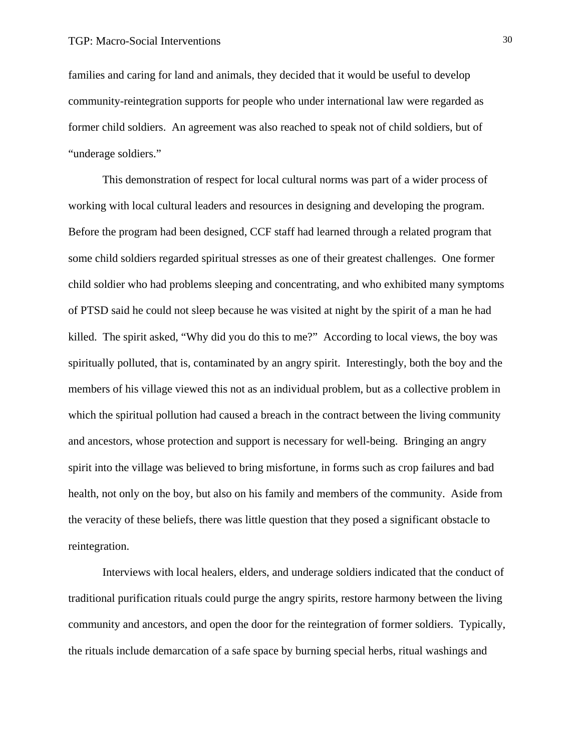families and caring for land and animals, they decided that it would be useful to develop community-reintegration supports for people who under international law were regarded as former child soldiers. An agreement was also reached to speak not of child soldiers, but of "underage soldiers."

This demonstration of respect for local cultural norms was part of a wider process of working with local cultural leaders and resources in designing and developing the program. Before the program had been designed, CCF staff had learned through a related program that some child soldiers regarded spiritual stresses as one of their greatest challenges. One former child soldier who had problems sleeping and concentrating, and who exhibited many symptoms of PTSD said he could not sleep because he was visited at night by the spirit of a man he had killed. The spirit asked, "Why did you do this to me?" According to local views, the boy was spiritually polluted, that is, contaminated by an angry spirit. Interestingly, both the boy and the members of his village viewed this not as an individual problem, but as a collective problem in which the spiritual pollution had caused a breach in the contract between the living community and ancestors, whose protection and support is necessary for well-being. Bringing an angry spirit into the village was believed to bring misfortune, in forms such as crop failures and bad health, not only on the boy, but also on his family and members of the community. Aside from the veracity of these beliefs, there was little question that they posed a significant obstacle to reintegration.

Interviews with local healers, elders, and underage soldiers indicated that the conduct of traditional purification rituals could purge the angry spirits, restore harmony between the living community and ancestors, and open the door for the reintegration of former soldiers. Typically, the rituals include demarcation of a safe space by burning special herbs, ritual washings and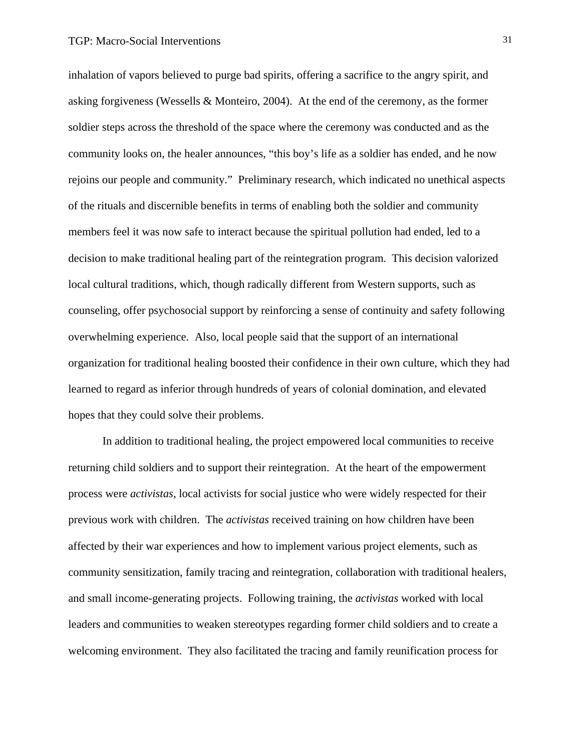inhalation of vapors believed to purge bad spirits, offering a sacrifice to the angry spirit, and asking forgiveness (Wessells & Monteiro, 2004). At the end of the ceremony, as the former soldier steps across the threshold of the space where the ceremony was conducted and as the community looks on, the healer announces, "this boy's life as a soldier has ended, and he now rejoins our people and community." Preliminary research, which indicated no unethical aspects of the rituals and discernible benefits in terms of enabling both the soldier and community members feel it was now safe to interact because the spiritual pollution had ended, led to a decision to make traditional healing part of the reintegration program. This decision valorized local cultural traditions, which, though radically different from Western supports, such as counseling, offer psychosocial support by reinforcing a sense of continuity and safety following overwhelming experience. Also, local people said that the support of an international organization for traditional healing boosted their confidence in their own culture, which they had learned to regard as inferior through hundreds of years of colonial domination, and elevated hopes that they could solve their problems.

In addition to traditional healing, the project empowered local communities to receive returning child soldiers and to support their reintegration. At the heart of the empowerment process were *activistas*, local activists for social justice who were widely respected for their previous work with children. The *activistas* received training on how children have been affected by their war experiences and how to implement various project elements, such as community sensitization, family tracing and reintegration, collaboration with traditional healers, and small income-generating projects. Following training, the *activistas* worked with local leaders and communities to weaken stereotypes regarding former child soldiers and to create a welcoming environment. They also facilitated the tracing and family reunification process for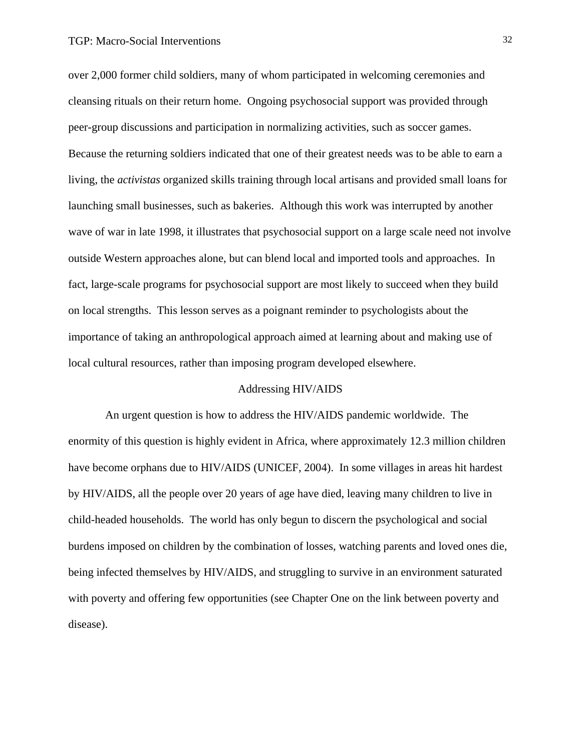over 2,000 former child soldiers, many of whom participated in welcoming ceremonies and cleansing rituals on their return home. Ongoing psychosocial support was provided through peer-group discussions and participation in normalizing activities, such as soccer games. Because the returning soldiers indicated that one of their greatest needs was to be able to earn a living, the *activistas* organized skills training through local artisans and provided small loans for launching small businesses, such as bakeries. Although this work was interrupted by another wave of war in late 1998, it illustrates that psychosocial support on a large scale need not involve outside Western approaches alone, but can blend local and imported tools and approaches. In fact, large-scale programs for psychosocial support are most likely to succeed when they build on local strengths. This lesson serves as a poignant reminder to psychologists about the importance of taking an anthropological approach aimed at learning about and making use of local cultural resources, rather than imposing program developed elsewhere.

## Addressing HIV/AIDS

 An urgent question is how to address the HIV/AIDS pandemic worldwide. The enormity of this question is highly evident in Africa, where approximately 12.3 million children have become orphans due to HIV/AIDS (UNICEF, 2004). In some villages in areas hit hardest by HIV/AIDS, all the people over 20 years of age have died, leaving many children to live in child-headed households. The world has only begun to discern the psychological and social burdens imposed on children by the combination of losses, watching parents and loved ones die, being infected themselves by HIV/AIDS, and struggling to survive in an environment saturated with poverty and offering few opportunities (see Chapter One on the link between poverty and disease).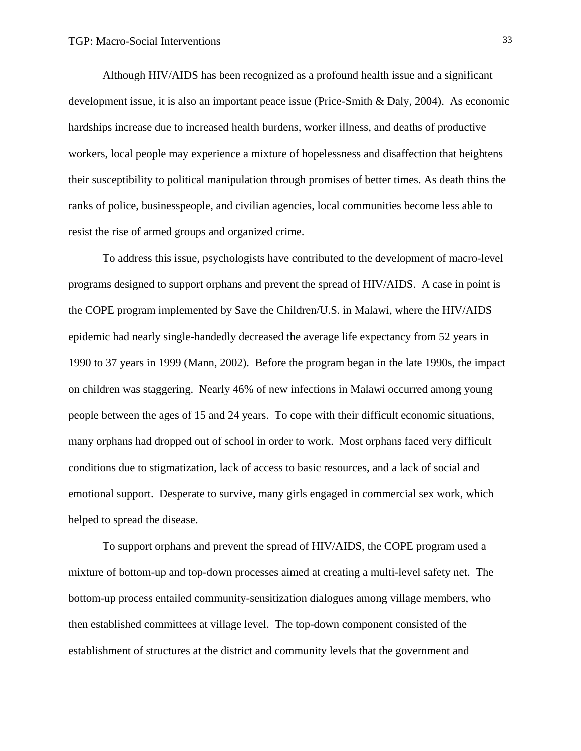Although HIV/AIDS has been recognized as a profound health issue and a significant development issue, it is also an important peace issue (Price-Smith & Daly, 2004). As economic hardships increase due to increased health burdens, worker illness, and deaths of productive workers, local people may experience a mixture of hopelessness and disaffection that heightens their susceptibility to political manipulation through promises of better times. As death thins the ranks of police, businesspeople, and civilian agencies, local communities become less able to resist the rise of armed groups and organized crime.

To address this issue, psychologists have contributed to the development of macro-level programs designed to support orphans and prevent the spread of HIV/AIDS. A case in point is the COPE program implemented by Save the Children/U.S. in Malawi, where the HIV/AIDS epidemic had nearly single-handedly decreased the average life expectancy from 52 years in 1990 to 37 years in 1999 (Mann, 2002). Before the program began in the late 1990s, the impact on children was staggering. Nearly 46% of new infections in Malawi occurred among young people between the ages of 15 and 24 years. To cope with their difficult economic situations, many orphans had dropped out of school in order to work. Most orphans faced very difficult conditions due to stigmatization, lack of access to basic resources, and a lack of social and emotional support. Desperate to survive, many girls engaged in commercial sex work, which helped to spread the disease.

To support orphans and prevent the spread of HIV/AIDS, the COPE program used a mixture of bottom-up and top-down processes aimed at creating a multi-level safety net. The bottom-up process entailed community-sensitization dialogues among village members, who then established committees at village level. The top-down component consisted of the establishment of structures at the district and community levels that the government and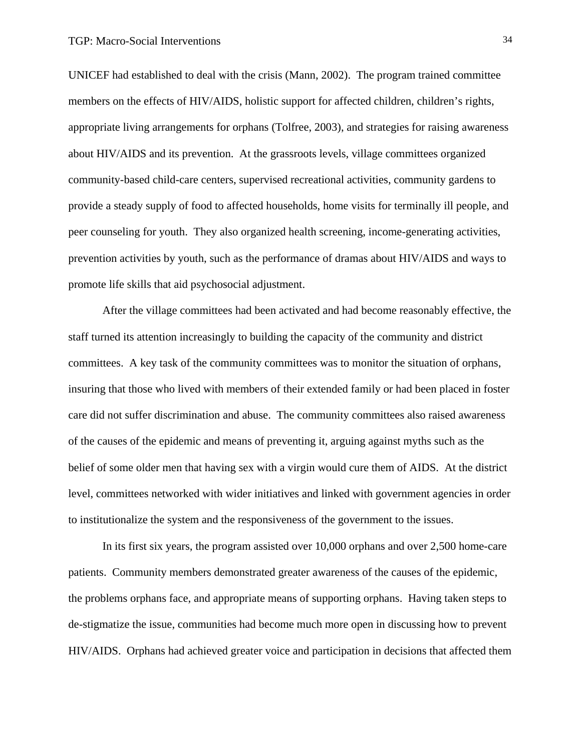UNICEF had established to deal with the crisis (Mann, 2002). The program trained committee members on the effects of HIV/AIDS, holistic support for affected children, children's rights, appropriate living arrangements for orphans (Tolfree, 2003), and strategies for raising awareness about HIV/AIDS and its prevention. At the grassroots levels, village committees organized community-based child-care centers, supervised recreational activities, community gardens to provide a steady supply of food to affected households, home visits for terminally ill people, and peer counseling for youth. They also organized health screening, income-generating activities, prevention activities by youth, such as the performance of dramas about HIV/AIDS and ways to promote life skills that aid psychosocial adjustment.

After the village committees had been activated and had become reasonably effective, the staff turned its attention increasingly to building the capacity of the community and district committees. A key task of the community committees was to monitor the situation of orphans, insuring that those who lived with members of their extended family or had been placed in foster care did not suffer discrimination and abuse. The community committees also raised awareness of the causes of the epidemic and means of preventing it, arguing against myths such as the belief of some older men that having sex with a virgin would cure them of AIDS. At the district level, committees networked with wider initiatives and linked with government agencies in order to institutionalize the system and the responsiveness of the government to the issues.

In its first six years, the program assisted over 10,000 orphans and over 2,500 home-care patients. Community members demonstrated greater awareness of the causes of the epidemic, the problems orphans face, and appropriate means of supporting orphans. Having taken steps to de-stigmatize the issue, communities had become much more open in discussing how to prevent HIV/AIDS. Orphans had achieved greater voice and participation in decisions that affected them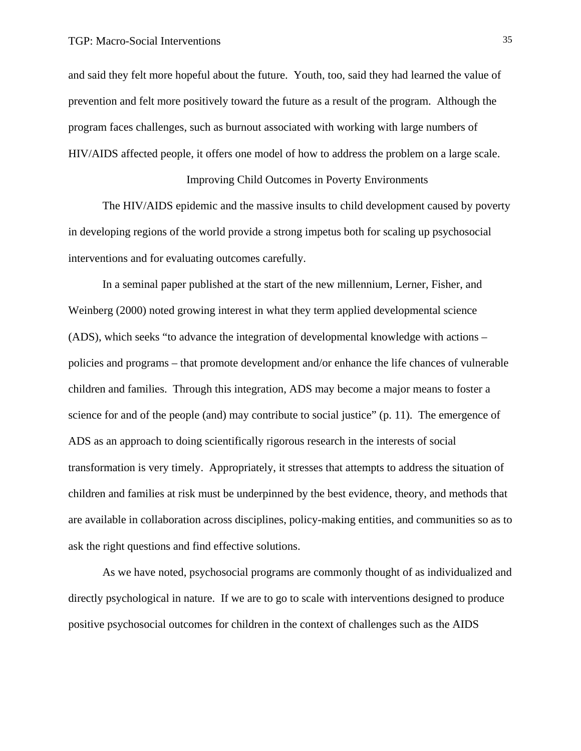and said they felt more hopeful about the future. Youth, too, said they had learned the value of prevention and felt more positively toward the future as a result of the program. Although the program faces challenges, such as burnout associated with working with large numbers of HIV/AIDS affected people, it offers one model of how to address the problem on a large scale.

#### Improving Child Outcomes in Poverty Environments

The HIV/AIDS epidemic and the massive insults to child development caused by poverty in developing regions of the world provide a strong impetus both for scaling up psychosocial interventions and for evaluating outcomes carefully.

In a seminal paper published at the start of the new millennium, Lerner, Fisher, and Weinberg (2000) noted growing interest in what they term applied developmental science (ADS), which seeks "to advance the integration of developmental knowledge with actions – policies and programs – that promote development and/or enhance the life chances of vulnerable children and families. Through this integration, ADS may become a major means to foster a science for and of the people (and) may contribute to social justice" (p. 11). The emergence of ADS as an approach to doing scientifically rigorous research in the interests of social transformation is very timely. Appropriately, it stresses that attempts to address the situation of children and families at risk must be underpinned by the best evidence, theory, and methods that are available in collaboration across disciplines, policy-making entities, and communities so as to ask the right questions and find effective solutions.

As we have noted, psychosocial programs are commonly thought of as individualized and directly psychological in nature. If we are to go to scale with interventions designed to produce positive psychosocial outcomes for children in the context of challenges such as the AIDS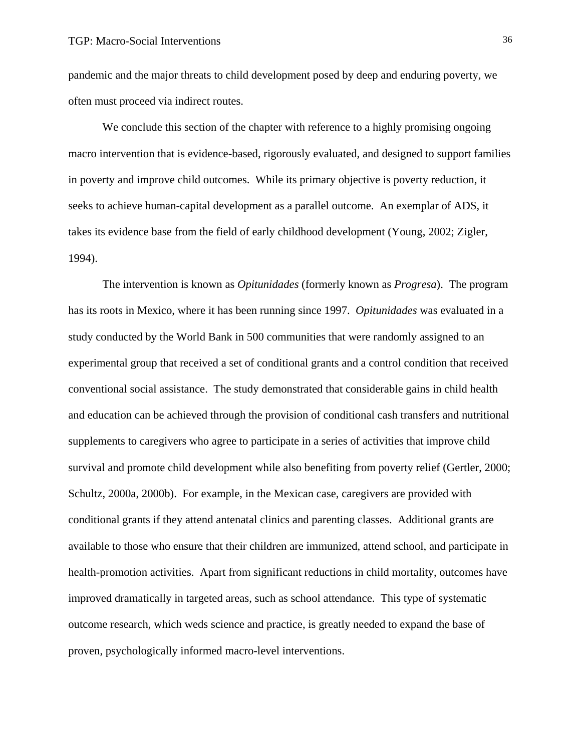pandemic and the major threats to child development posed by deep and enduring poverty, we often must proceed via indirect routes.

We conclude this section of the chapter with reference to a highly promising ongoing macro intervention that is evidence-based, rigorously evaluated, and designed to support families in poverty and improve child outcomes. While its primary objective is poverty reduction, it seeks to achieve human-capital development as a parallel outcome. An exemplar of ADS, it takes its evidence base from the field of early childhood development (Young, 2002; Zigler, 1994).

The intervention is known as *Opitunidades* (formerly known as *Progresa*). The program has its roots in Mexico, where it has been running since 1997. *Opitunidades* was evaluated in a study conducted by the World Bank in 500 communities that were randomly assigned to an experimental group that received a set of conditional grants and a control condition that received conventional social assistance. The study demonstrated that considerable gains in child health and education can be achieved through the provision of conditional cash transfers and nutritional supplements to caregivers who agree to participate in a series of activities that improve child survival and promote child development while also benefiting from poverty relief (Gertler, 2000; Schultz, 2000a, 2000b). For example, in the Mexican case, caregivers are provided with conditional grants if they attend antenatal clinics and parenting classes. Additional grants are available to those who ensure that their children are immunized, attend school, and participate in health-promotion activities. Apart from significant reductions in child mortality, outcomes have improved dramatically in targeted areas, such as school attendance. This type of systematic outcome research, which weds science and practice, is greatly needed to expand the base of proven, psychologically informed macro-level interventions.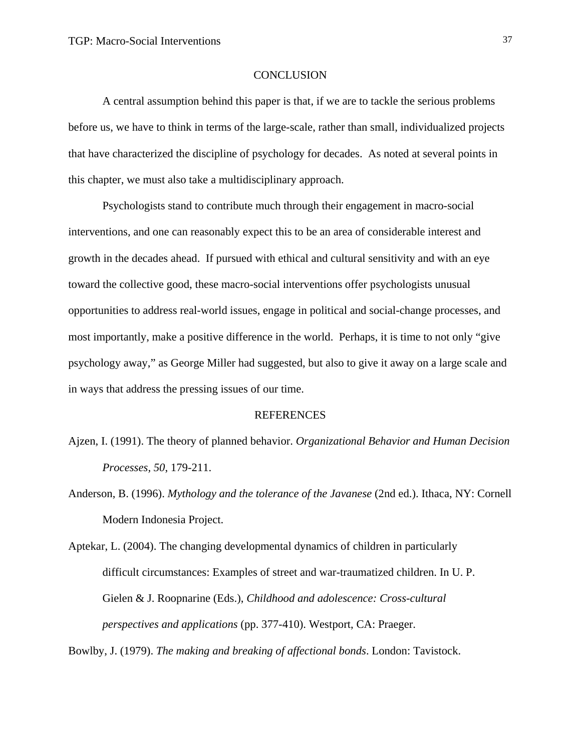#### **CONCLUSION**

A central assumption behind this paper is that, if we are to tackle the serious problems before us, we have to think in terms of the large-scale, rather than small, individualized projects that have characterized the discipline of psychology for decades. As noted at several points in this chapter, we must also take a multidisciplinary approach.

Psychologists stand to contribute much through their engagement in macro-social interventions, and one can reasonably expect this to be an area of considerable interest and growth in the decades ahead. If pursued with ethical and cultural sensitivity and with an eye toward the collective good, these macro-social interventions offer psychologists unusual opportunities to address real-world issues, engage in political and social-change processes, and most importantly, make a positive difference in the world. Perhaps, it is time to not only "give psychology away," as George Miller had suggested, but also to give it away on a large scale and in ways that address the pressing issues of our time.

#### REFERENCES

- Ajzen, I. (1991). The theory of planned behavior. *Organizational Behavior and Human Decision Processes, 50*, 179-211.
- Anderson, B. (1996). *Mythology and the tolerance of the Javanese* (2nd ed.). Ithaca, NY: Cornell Modern Indonesia Project.

Aptekar, L. (2004). The changing developmental dynamics of children in particularly difficult circumstances: Examples of street and war-traumatized children. In U. P. Gielen & J. Roopnarine (Eds.), *Childhood and adolescence: Cross-cultural perspectives and applications* (pp. 377-410). Westport, CA: Praeger.

Bowlby, J. (1979). *The making and breaking of affectional bonds*. London: Tavistock.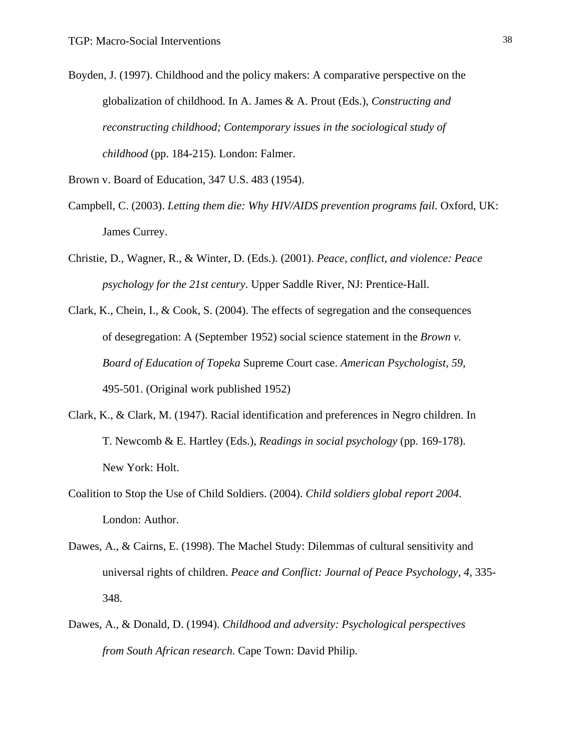Boyden, J. (1997). Childhood and the policy makers: A comparative perspective on the globalization of childhood. In A. James & A. Prout (Eds.), *Constructing and reconstructing childhood; Contemporary issues in the sociological study of childhood* (pp. 184-215). London: Falmer.

Brown v. Board of Education, 347 U.S. 483 (1954).

- Campbell, C. (2003). *Letting them die: Why HIV/AIDS prevention programs fail*. Oxford, UK: James Currey.
- Christie, D., Wagner, R., & Winter, D. (Eds.). (2001). *Peace, conflict, and violence: Peace psychology for the 21st century*. Upper Saddle River, NJ: Prentice-Hall.
- Clark, K., Chein, I., & Cook, S. (2004). The effects of segregation and the consequences of desegregation: A (September 1952) social science statement in the *Brown v. Board of Education of Topeka* Supreme Court case. *American Psychologist, 59*, 495-501. (Original work published 1952)
- Clark, K., & Clark, M. (1947). Racial identification and preferences in Negro children. In T. Newcomb & E. Hartley (Eds.), *Readings in social psychology* (pp. 169-178). New York: Holt.
- Coalition to Stop the Use of Child Soldiers. (2004). *Child soldiers global report 2004*. London: Author.
- Dawes, A., & Cairns, E. (1998). The Machel Study: Dilemmas of cultural sensitivity and universal rights of children. *Peace and Conflict: Journal of Peace Psychology, 4,* 335- 348.
- Dawes, A., & Donald, D. (1994). *Childhood and adversity: Psychological perspectives from South African research*. Cape Town: David Philip.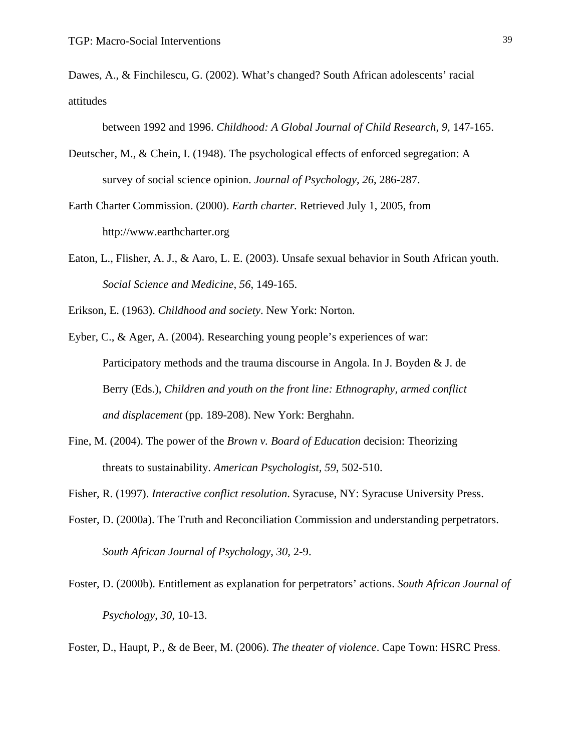Dawes, A., & Finchilescu, G. (2002). What's changed? South African adolescents' racial attitudes

between 1992 and 1996. *Childhood: A Global Journal of Child Research*, *9,* 147-165.

- Deutscher, M., & Chein, I. (1948). The psychological effects of enforced segregation: A survey of social science opinion. *Journal of Psychology, 26*, 286-287.
- Earth Charter Commission. (2000). *Earth charter.* Retrieved July 1, 2005, from http://www.earthcharter.org
- Eaton, L., Flisher, A. J., & Aaro, L. E. (2003). Unsafe sexual behavior in South African youth. *Social Science and Medicine, 56*, 149-165.

Erikson, E. (1963). *Childhood and society*. New York: Norton.

- Eyber, C., & Ager, A. (2004). Researching young people's experiences of war: Participatory methods and the trauma discourse in Angola. In J. Boyden & J. de Berry (Eds.), *Children and youth on the front line: Ethnography, armed conflict and displacement* (pp. 189-208). New York: Berghahn.
- Fine, M. (2004). The power of the *Brown v. Board of Education* decision: Theorizing threats to sustainability. *American Psychologist, 59*, 502-510.
- Fisher, R. (1997). *Interactive conflict resolution*. Syracuse, NY: Syracuse University Press.
- Foster, D. (2000a). The Truth and Reconciliation Commission and understanding perpetrators. *South African Journal of Psychology*, *30,* 2-9.
- Foster, D. (2000b). Entitlement as explanation for perpetrators' actions. *South African Journal of Psychology*, *30,* 10-13.

Foster, D., Haupt, P., & de Beer, M. (2006). *The theater of violence*. Cape Town: HSRC Press.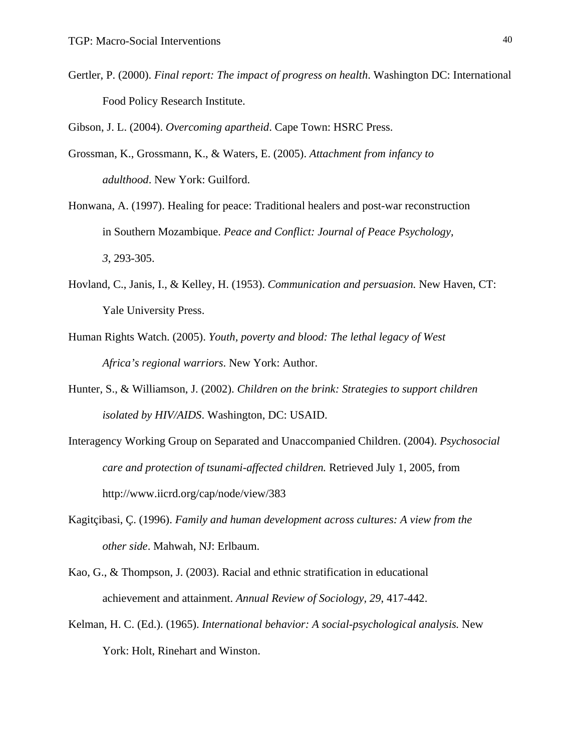Gertler, P. (2000). *Final report: The impact of progress on health*. Washington DC: International Food Policy Research Institute.

Gibson, J. L. (2004). *Overcoming apartheid*. Cape Town: HSRC Press.

- Grossman, K., Grossmann, K., & Waters, E. (2005). *Attachment from infancy to adulthood*. New York: Guilford.
- Honwana, A. (1997). Healing for peace: Traditional healers and post-war reconstruction in Southern Mozambique. *Peace and Conflict: Journal of Peace Psychology, 3*, 293-305.
- Hovland, C., Janis, I., & Kelley, H. (1953). *Communication and persuasion.* New Haven, CT: Yale University Press.
- Human Rights Watch. (2005). *Youth, poverty and blood: The lethal legacy of West Africa's regional warriors*. New York: Author.
- Hunter, S., & Williamson, J. (2002). *Children on the brink: Strategies to support children isolated by HIV/AIDS*. Washington, DC: USAID.
- Interagency Working Group on Separated and Unaccompanied Children. (2004). *Psychosocial care and protection of tsunami-affected children.* Retrieved July 1, 2005, from http://www.iicrd.org/cap/node/view/383
- Kagitçibasi, Ç. (1996). *Family and human development across cultures: A view from the other side*. Mahwah, NJ: Erlbaum.
- Kao, G., & Thompson, J. (2003). Racial and ethnic stratification in educational achievement and attainment. *Annual Review of Sociology, 29*, 417-442.
- Kelman, H. C. (Ed.). (1965). *International behavior: A social-psychological analysis.* New York: Holt, Rinehart and Winston.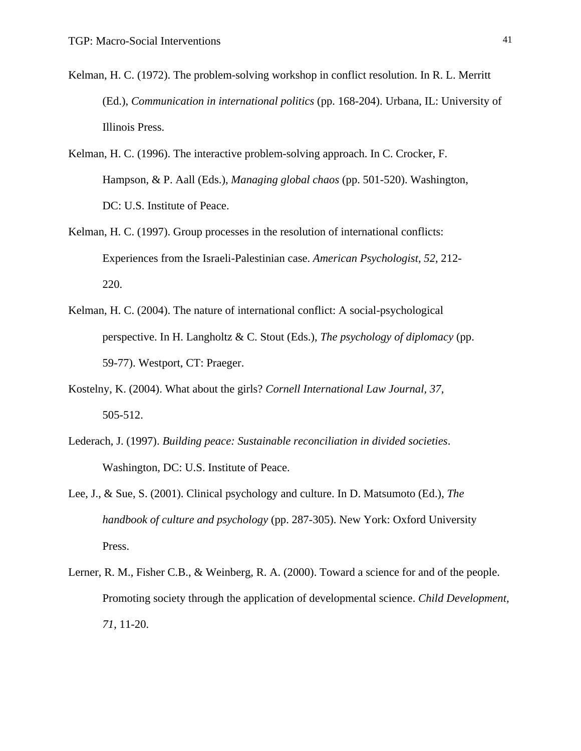- Kelman, H. C. (1972). The problem-solving workshop in conflict resolution. In R. L. Merritt (Ed.), *Communication in international politics* (pp. 168-204). Urbana, IL: University of Illinois Press.
- Kelman, H. C. (1996). The interactive problem-solving approach. In C. Crocker, F. Hampson, & P. Aall (Eds.), *Managing global chaos* (pp. 501-520). Washington, DC: U.S. Institute of Peace.
- Kelman, H. C. (1997). Group processes in the resolution of international conflicts: Experiences from the Israeli-Palestinian case. *American Psychologist, 52*, 212- 220.
- Kelman, H. C. (2004). The nature of international conflict: A social-psychological perspective. In H. Langholtz & C. Stout (Eds.), *The psychology of diplomacy* (pp. 59-77). Westport, CT: Praeger.
- Kostelny, K. (2004). What about the girls? *Cornell International Law Journal, 37,* 505-512.
- Lederach, J. (1997). *Building peace: Sustainable reconciliation in divided societies*. Washington, DC: U.S. Institute of Peace.
- Lee, J., & Sue, S. (2001). Clinical psychology and culture. In D. Matsumoto (Ed.), *The handbook of culture and psychology* (pp. 287-305). New York: Oxford University Press.
- Lerner, R. M., Fisher C.B., & Weinberg, R. A. (2000). Toward a science for and of the people. Promoting society through the application of developmental science. *Child Development, 71*, 11-20.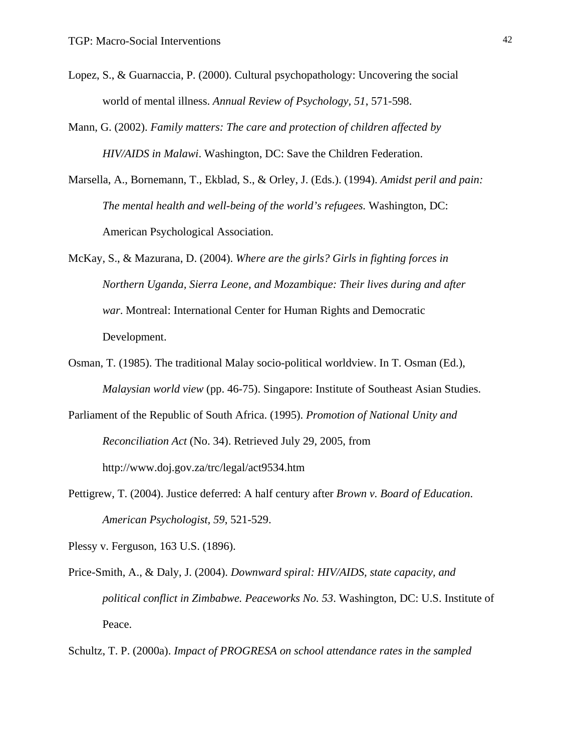- Lopez, S., & Guarnaccia, P. (2000). Cultural psychopathology: Uncovering the social world of mental illness. *Annual Review of Psychology, 51*, 571-598.
- Mann, G. (2002). *Family matters: The care and protection of children affected by HIV/AIDS in Malawi*. Washington, DC: Save the Children Federation.
- Marsella, A., Bornemann, T., Ekblad, S., & Orley, J. (Eds.). (1994). *Amidst peril and pain: The mental health and well-being of the world's refugees.* Washington, DC: American Psychological Association.
- McKay, S., & Mazurana, D. (2004). *Where are the girls? Girls in fighting forces in Northern Uganda, Sierra Leone, and Mozambique: Their lives during and after war*. Montreal: International Center for Human Rights and Democratic Development.
- Osman, T. (1985). The traditional Malay socio-political worldview. In T. Osman (Ed.), *Malaysian world view* (pp. 46-75). Singapore: Institute of Southeast Asian Studies.
- Parliament of the Republic of South Africa. (1995). *Promotion of National Unity and Reconciliation Act* (No. 34). Retrieved July 29, 2005, from http://www.doj.gov.za/trc/legal/act9534.htm
- Pettigrew, T. (2004). Justice deferred: A half century after *Brown v. Board of Education*. *American Psychologist, 59*, 521-529.

Plessy v. Ferguson, 163 U.S. (1896).

Price-Smith, A., & Daly, J. (2004). *Downward spiral: HIV/AIDS, state capacity, and political conflict in Zimbabwe. Peaceworks No. 53*. Washington, DC: U.S. Institute of Peace.

Schultz, T. P. (2000a). *Impact of PROGRESA on school attendance rates in the sampled*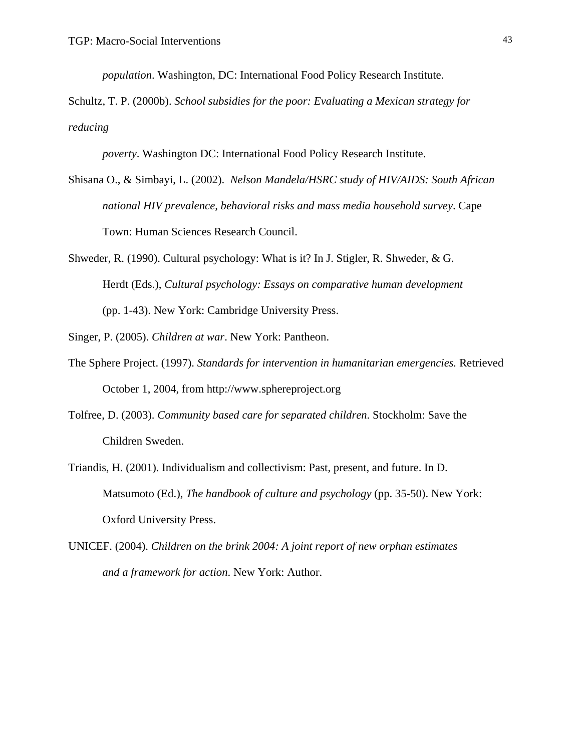*population*. Washington, DC: International Food Policy Research Institute.

Schultz, T. P. (2000b). *School subsidies for the poor: Evaluating a Mexican strategy for reducing* 

*poverty*. Washington DC: International Food Policy Research Institute.

Shisana O., & Simbayi, L. (2002). *Nelson Mandela/HSRC study of HIV/AIDS: South African national HIV prevalence, behavioral risks and mass media household survey*. Cape Town: Human Sciences Research Council.

Shweder, R. (1990). Cultural psychology: What is it? In J. Stigler, R. Shweder, & G. Herdt (Eds.), *Cultural psychology: Essays on comparative human development* (pp. 1-43). New York: Cambridge University Press.

Singer, P. (2005). *Children at war*. New York: Pantheon.

- The Sphere Project. (1997). *Standards for intervention in humanitarian emergencies.* Retrieved October 1, 2004, from http://www.sphereproject.org
- Tolfree, D. (2003). *Community based care for separated children*. Stockholm: Save the Children Sweden.
- Triandis, H. (2001). Individualism and collectivism: Past, present, and future. In D. Matsumoto (Ed.), *The handbook of culture and psychology* (pp. 35-50). New York: Oxford University Press.
- UNICEF. (2004). *Children on the brink 2004: A joint report of new orphan estimates and a framework for action*. New York: Author.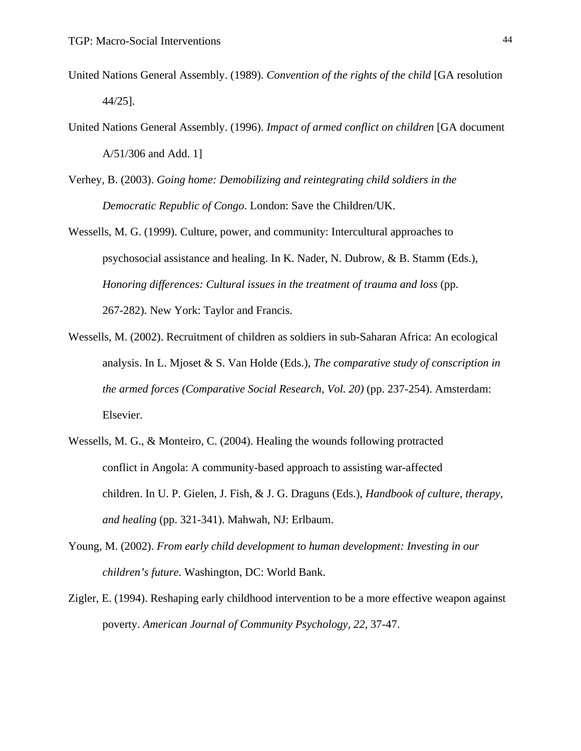- United Nations General Assembly. (1989). *Convention of the rights of the child* [GA resolution 44/25].
- United Nations General Assembly. (1996). *Impact of armed conflict on children* [GA document A/51/306 and Add. 1]
- Verhey, B. (2003). *Going home: Demobilizing and reintegrating child soldiers in the Democratic Republic of Congo*. London: Save the Children/UK.
- Wessells, M. G. (1999). Culture, power, and community: Intercultural approaches to psychosocial assistance and healing. In K. Nader, N. Dubrow, & B. Stamm (Eds.), *Honoring differences: Cultural issues in the treatment of trauma and loss* (pp. 267-282). New York: Taylor and Francis.
- Wessells, M. (2002). Recruitment of children as soldiers in sub-Saharan Africa: An ecological analysis. In L. Mjoset & S. Van Holde (Eds.), *The comparative study of conscription in the armed forces (Comparative Social Research, Vol. 20)* (pp. 237-254). Amsterdam: Elsevier.
- Wessells, M. G., & Monteiro, C. (2004). Healing the wounds following protracted conflict in Angola: A community-based approach to assisting war-affected children. In U. P. Gielen, J. Fish, & J. G. Draguns (Eds.), *Handbook of culture, therapy, and healing* (pp. 321-341). Mahwah, NJ: Erlbaum.
- Young, M. (2002). *From early child development to human development: Investing in our children's future*. Washington, DC: World Bank.
- Zigler, E. (1994). Reshaping early childhood intervention to be a more effective weapon against poverty. *American Journal of Community Psychology, 22,* 37-47.